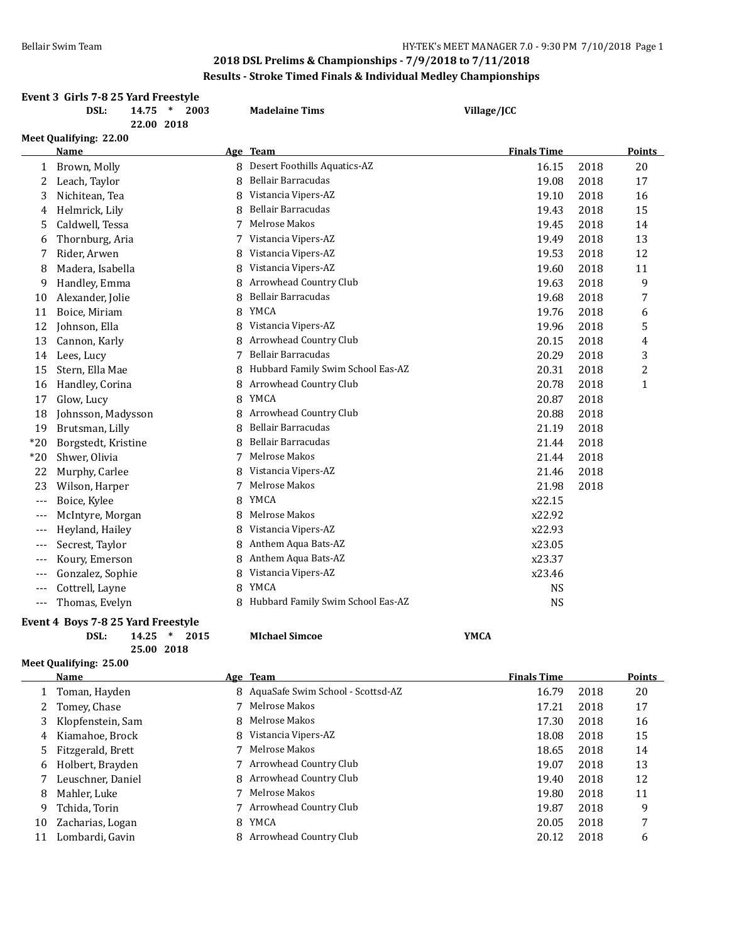|                          | Event 3 Girls 7-8 25 Yard Freestyle |      |                                   |                    |      |               |
|--------------------------|-------------------------------------|------|-----------------------------------|--------------------|------|---------------|
|                          | DSL:<br>$\ast$<br>14.75             | 2003 | <b>Madelaine Tims</b>             | Village/JCC        |      |               |
|                          | 22.00 2018                          |      |                                   |                    |      |               |
|                          | Meet Qualifying: 22.00              |      |                                   |                    |      |               |
|                          | Name                                |      | Age Team                          | <b>Finals Time</b> |      | <b>Points</b> |
| 1                        | Brown, Molly                        | 8    | Desert Foothills Aquatics-AZ      | 16.15              | 2018 | 20            |
| 2                        | Leach, Taylor                       | 8    | Bellair Barracudas                | 19.08              | 2018 | 17            |
| 3                        | Nichitean, Tea                      | 8    | Vistancia Vipers-AZ               | 19.10              | 2018 | 16            |
| 4                        | Helmrick, Lily                      | 8    | Bellair Barracudas                | 19.43              | 2018 | 15            |
| 5                        | Caldwell, Tessa                     | 7    | Melrose Makos                     | 19.45              | 2018 | 14            |
| 6                        | Thornburg, Aria                     | 7    | Vistancia Vipers-AZ               | 19.49              | 2018 | 13            |
| 7                        | Rider, Arwen                        | 8    | Vistancia Vipers-AZ               | 19.53              | 2018 | 12            |
| 8                        | Madera, Isabella                    | 8    | Vistancia Vipers-AZ               | 19.60              | 2018 | 11            |
| 9                        | Handley, Emma                       | 8    | Arrowhead Country Club            | 19.63              | 2018 | 9             |
| 10                       | Alexander, Jolie                    | 8    | <b>Bellair Barracudas</b>         | 19.68              | 2018 | 7             |
| 11                       | Boice, Miriam                       | 8    | YMCA                              | 19.76              | 2018 | 6             |
| 12                       | Johnson, Ella                       | 8    | Vistancia Vipers-AZ               | 19.96              | 2018 | 5             |
| 13                       | Cannon, Karly                       | 8    | Arrowhead Country Club            | 20.15              | 2018 | 4             |
| 14                       | Lees, Lucy                          | 7    | <b>Bellair Barracudas</b>         | 20.29              | 2018 | 3             |
| 15                       | Stern, Ella Mae                     | 8    | Hubbard Family Swim School Eas-AZ | 20.31              | 2018 | 2             |
| 16                       | Handley, Corina                     | 8    | Arrowhead Country Club            | 20.78              | 2018 | $\mathbf{1}$  |
| 17                       | Glow, Lucy                          | 8    | <b>YMCA</b>                       | 20.87              | 2018 |               |
| 18                       | Johnsson, Madysson                  | 8    | Arrowhead Country Club            | 20.88              | 2018 |               |
| 19                       | Brutsman, Lilly                     | 8    | Bellair Barracudas                | 21.19              | 2018 |               |
| $*20$                    | Borgstedt, Kristine                 | 8    | <b>Bellair Barracudas</b>         | 21.44              | 2018 |               |
| $*20$                    | Shwer, Olivia                       | 7    | Melrose Makos                     | 21.44              | 2018 |               |
| 22                       | Murphy, Carlee                      | 8    | Vistancia Vipers-AZ               | 21.46              | 2018 |               |
| 23                       | Wilson, Harper                      | 7    | Melrose Makos                     | 21.98              | 2018 |               |
| $\overline{\phantom{a}}$ | Boice, Kylee                        | 8    | <b>YMCA</b>                       | x22.15             |      |               |
| ---                      | McIntyre, Morgan                    | 8    | Melrose Makos                     | x22.92             |      |               |
| ---                      | Heyland, Hailey                     | 8    | Vistancia Vipers-AZ               | x22.93             |      |               |
| ---                      | Secrest, Taylor                     | 8    | Anthem Aqua Bats-AZ               | x23.05             |      |               |
| ---                      | Koury, Emerson                      | 8    | Anthem Aqua Bats-AZ               | x23.37             |      |               |
| ---                      | Gonzalez, Sophie                    | 8    | Vistancia Vipers-AZ               | x23.46             |      |               |
| $---$                    | Cottrell, Layne                     | 8    | <b>YMCA</b>                       | <b>NS</b>          |      |               |
| $\qquad \qquad - -$      | Thomas, Evelyn                      | 8    | Hubbard Family Swim School Eas-AZ | <b>NS</b>          |      |               |
|                          |                                     |      |                                   |                    |      |               |

#### **Event 4 Boys 7-8 25 Yard Freestyle**

**DSL: 14.25 \* 2015 MIchael Simcoe YMCA 25.00 2018**

**Meet Qualifying: 25.00**

|    | Name              |    | Age Team                            | <b>Finals Time</b> |      | <b>Points</b> |
|----|-------------------|----|-------------------------------------|--------------------|------|---------------|
|    | Toman, Hayden     |    | 8 AquaSafe Swim School - Scottsd-AZ | 16.79              | 2018 | 20            |
| 2  | Tomey, Chase      |    | Melrose Makos                       | 17.21              | 2018 | 17            |
|    | Klopfenstein, Sam |    | 8 Melrose Makos                     | 17.30              | 2018 | 16            |
| 4  | Kiamahoe, Brock   |    | 8 Vistancia Vipers-AZ               | 18.08              | 2018 | 15            |
| 5. | Fitzgerald, Brett |    | Melrose Makos                       | 18.65              | 2018 | 14            |
| 6  | Holbert, Brayden  |    | Arrowhead Country Club              | 19.07              | 2018 | 13            |
|    | Leuschner, Daniel |    | 8 Arrowhead Country Club            | 19.40              | 2018 | 12            |
| 8  | Mahler, Luke      |    | Melrose Makos                       | 19.80              | 2018 | 11            |
| 9  | Tchida, Torin     |    | Arrowhead Country Club              | 19.87              | 2018 | 9             |
| 10 | Zacharias, Logan  | 8  | YMCA                                | 20.05              | 2018 | 7             |
| 11 | Lombardi, Gavin   | 8. | Arrowhead Country Club              | 20.12              | 2018 | 6             |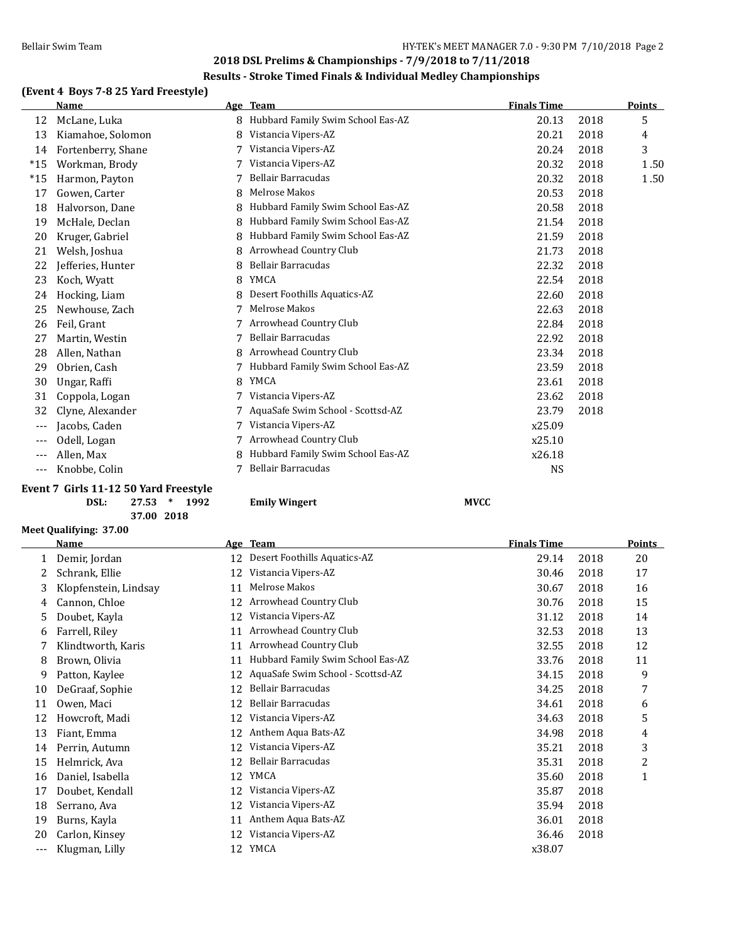## **(Event 4 Boys 7-8 25 Yard Freestyle)**

|       | <b>Name</b>        |   | Age Team                          | <b>Finals Time</b> |      | <b>Points</b> |
|-------|--------------------|---|-----------------------------------|--------------------|------|---------------|
| 12    | McLane, Luka       | 8 | Hubbard Family Swim School Eas-AZ | 20.13              | 2018 | 5             |
| 13    | Kiamahoe, Solomon  | 8 | Vistancia Vipers-AZ               | 20.21              | 2018 | 4             |
| 14    | Fortenberry, Shane |   | Vistancia Vipers-AZ               | 20.24              | 2018 | 3             |
| $*15$ | Workman, Brody     |   | Vistancia Vipers-AZ               | 20.32              | 2018 | 1.50          |
| $*15$ | Harmon, Payton     |   | Bellair Barracudas                | 20.32              | 2018 | 1.50          |
| 17    | Gowen, Carter      | 8 | Melrose Makos                     | 20.53              | 2018 |               |
| 18    | Halvorson, Dane    | 8 | Hubbard Family Swim School Eas-AZ | 20.58              | 2018 |               |
| 19    | McHale, Declan     | 8 | Hubbard Family Swim School Eas-AZ | 21.54              | 2018 |               |
| 20    | Kruger, Gabriel    | 8 | Hubbard Family Swim School Eas-AZ | 21.59              | 2018 |               |
| 21    | Welsh, Joshua      | 8 | Arrowhead Country Club            | 21.73              | 2018 |               |
| 22    | Jefferies, Hunter  | 8 | Bellair Barracudas                | 22.32              | 2018 |               |
| 23    | Koch, Wyatt        | 8 | YMCA                              | 22.54              | 2018 |               |
| 24    | Hocking, Liam      | 8 | Desert Foothills Aquatics-AZ      | 22.60              | 2018 |               |
| 25    | Newhouse, Zach     |   | Melrose Makos                     | 22.63              | 2018 |               |
| 26    | Feil, Grant        | 7 | Arrowhead Country Club            | 22.84              | 2018 |               |
| 27    | Martin, Westin     |   | <b>Bellair Barracudas</b>         | 22.92              | 2018 |               |
| 28    | Allen, Nathan      | 8 | Arrowhead Country Club            | 23.34              | 2018 |               |
| 29    | Obrien, Cash       |   | Hubbard Family Swim School Eas-AZ | 23.59              | 2018 |               |
| 30    | Ungar, Raffi       | 8 | YMCA                              | 23.61              | 2018 |               |
| 31    | Coppola, Logan     |   | Vistancia Vipers-AZ               | 23.62              | 2018 |               |
| 32    | Clyne, Alexander   | 7 | AquaSafe Swim School - Scottsd-AZ | 23.79              | 2018 |               |
| $---$ | Jacobs, Caden      |   | Vistancia Vipers-AZ               | x25.09             |      |               |
| $---$ | Odell, Logan       |   | Arrowhead Country Club            | x25.10             |      |               |
| $---$ | Allen, Max         | 8 | Hubbard Family Swim School Eas-AZ | x26.18             |      |               |
| $---$ | Knobbe, Colin      | 7 | Bellair Barracudas                | <b>NS</b>          |      |               |
|       |                    |   |                                   |                    |      |               |

#### **Event 7 Girls 11-12 50 Yard Freestyle DSL: 27.53 \* 1992 Emily Wingert MVCC**

**37.00 2018**

#### **Meet Qualifying: 37.00**

 $\overline{a}$ 

|     | Name                  | <b>Age</b> | <b>Team</b>                       | <b>Finals Time</b> |      | <b>Points</b> |
|-----|-----------------------|------------|-----------------------------------|--------------------|------|---------------|
| 1   | Demir, Jordan         | 12         | Desert Foothills Aquatics-AZ      | 29.14              | 2018 | 20            |
| 2   | Schrank, Ellie        | 12         | Vistancia Vipers-AZ               | 30.46              | 2018 | 17            |
| 3   | Klopfenstein, Lindsay | 11         | Melrose Makos                     | 30.67              | 2018 | 16            |
| 4   | Cannon, Chloe         | 12         | Arrowhead Country Club            | 30.76              | 2018 | 15            |
| 5.  | Doubet, Kayla         | 12         | Vistancia Vipers-AZ               | 31.12              | 2018 | 14            |
| 6   | Farrell, Riley        | 11         | Arrowhead Country Club            | 32.53              | 2018 | 13            |
|     | Klindtworth, Karis    | 11         | Arrowhead Country Club            | 32.55              | 2018 | 12            |
| 8   | Brown, Olivia         | 11         | Hubbard Family Swim School Eas-AZ | 33.76              | 2018 | 11            |
| 9   | Patton, Kaylee        | 12         | AquaSafe Swim School - Scottsd-AZ | 34.15              | 2018 | 9             |
| 10  | DeGraaf, Sophie       | 12         | Bellair Barracudas                | 34.25              | 2018 | 7             |
| 11  | Owen, Maci            | 12         | Bellair Barracudas                | 34.61              | 2018 | 6             |
| 12  | Howcroft, Madi        | 12         | Vistancia Vipers-AZ               | 34.63              | 2018 | 5             |
| 13  | Fiant, Emma           | 12         | Anthem Aqua Bats-AZ               | 34.98              | 2018 | 4             |
| 14  | Perrin, Autumn        | 12         | Vistancia Vipers-AZ               | 35.21              | 2018 | 3             |
| 15  | Helmrick, Ava         | 12         | Bellair Barracudas                | 35.31              | 2018 | 2             |
| 16  | Daniel, Isabella      | 12         | YMCA                              | 35.60              | 2018 | 1             |
| 17  | Doubet, Kendall       | 12         | Vistancia Vipers-AZ               | 35.87              | 2018 |               |
| 18  | Serrano, Ava          | 12         | Vistancia Vipers-AZ               | 35.94              | 2018 |               |
| 19  | Burns, Kayla          | 11         | Anthem Aqua Bats-AZ               | 36.01              | 2018 |               |
| 20  | Carlon, Kinsey        | 12         | Vistancia Vipers-AZ               | 36.46              | 2018 |               |
| --- | Klugman, Lilly        | 12         | YMCA                              | x38.07             |      |               |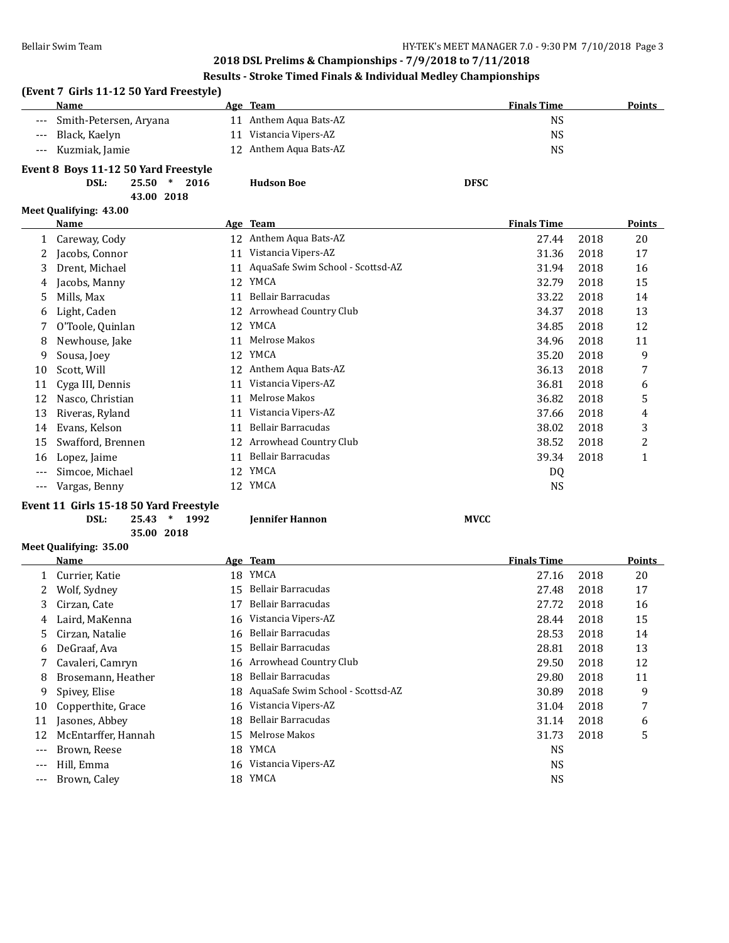## **(Event 7 Girls 11-12 50 Yard Freestyle) Age Team Age Team** *Age Age Age Age Points Binals Time Points* --- Smith-Petersen, Aryana 11 Anthem Aqua Bats-AZ NS --- Black, Kaelyn 11 Vistancia Vipers-AZ NS --- Kuzmiak, Jamie 12 Anthem Aqua Bats-AZ NS **Event 8 Boys 11-12 50 Yard Freestyle DSL: 25.50 \* 2016 Hudson Boe DFSC 43.00 2018 Meet Qualifying: 43.00 Name Age Team Age Team** *Points Finals Time* **<b>Points** 1 Careway, Cody 12 Anthem Aqua Bats-AZ 27.44 2018 20 2 Jacobs, Connor 11 Vistancia Vipers-AZ 31.36 2018 17 3 Drent, Michael 11 AquaSafe Swim School - Scottsd-AZ 31.94 2018 16 4 Jacobs, Manny 12 YMCA 32.79 2018 15 5 Mills, Max 11 Bellair Barracudas 33.22 2018 14 6 Light, Caden 12 Arrowhead Country Club 34.37 2018 13 7 O'Toole, Quinlan 12 YMCA 34.85 2018 12 8 Newhouse, Jake 11 Melrose Makos 34.96 2018 11 9 Sousa, Joey 12 YMCA 35.20 2018 9 10 Scott, Will 12 Anthem Aqua Bats-AZ 36.13 2018 7 11 Cyga III, Dennis 11 Vistancia Vipers-AZ 11 Vistancia Vipers-AZ 36.81 36.81 36.81 3018 6 12 Nasco, Christian 11 Melrose Makos 36.82 2018 5 13 Riveras, Ryland 11 Vistancia Vipers-AZ 37.66 2018 4 14 Evans, Kelson 11 Bellair Barracudas 38.02 2018 3 15 Swafford, Brennen 12 Arrowhead Country Club 38.52 2018 2 16 Lopez, Jaime 11 Bellair Barracudas 39.34 2018 1 --- Simcoe, Michael 12 YMCA DQ --- Vargas, Benny 12 YMCA NS **Event 11 Girls 15-18 50 Yard Freestyle DSL: 25.43 \* 1992 Jennifer Hannon MVCC 35.00 2018 Meet Qualifying: 35.00**

|       | <b>Name</b>         |    | Age Team                             | <b>Finals Time</b> |      | <b>Points</b> |
|-------|---------------------|----|--------------------------------------|--------------------|------|---------------|
|       | Currier, Katie      | 18 | YMCA                                 | 27.16              | 2018 | 20            |
| 2     | Wolf, Sydney        | 15 | Bellair Barracudas                   | 27.48              | 2018 | 17            |
| 3     | Cirzan, Cate        | 17 | Bellair Barracudas                   | 27.72              | 2018 | 16            |
| 4     | Laird, MaKenna      | 16 | Vistancia Vipers-AZ                  | 28.44              | 2018 | 15            |
| 5     | Cirzan, Natalie     | 16 | Bellair Barracudas                   | 28.53              | 2018 | 14            |
| 6     | DeGraaf, Ava        | 15 | Bellair Barracudas                   | 28.81              | 2018 | 13            |
|       | Cavaleri, Camryn    |    | 16 Arrowhead Country Club            | 29.50              | 2018 | 12            |
| 8     | Brosemann, Heather  | 18 | Bellair Barracudas                   | 29.80              | 2018 | 11            |
| 9     | Spivey, Elise       |    | 18 AquaSafe Swim School - Scottsd-AZ | 30.89              | 2018 | 9             |
| 10    | Copperthite, Grace  | 16 | Vistancia Vipers-AZ                  | 31.04              | 2018 | 7             |
| 11    | Jasones, Abbey      | 18 | Bellair Barracudas                   | 31.14              | 2018 | 6             |
| 12    | McEntarffer, Hannah | 15 | Melrose Makos                        | 31.73              | 2018 | 5             |
| $---$ | Brown, Reese        | 18 | YMCA                                 | NS                 |      |               |
| $---$ | Hill, Emma          |    | 16 Vistancia Vipers-AZ               | <b>NS</b>          |      |               |
|       | Brown, Caley        | 18 | YMCA                                 | NS                 |      |               |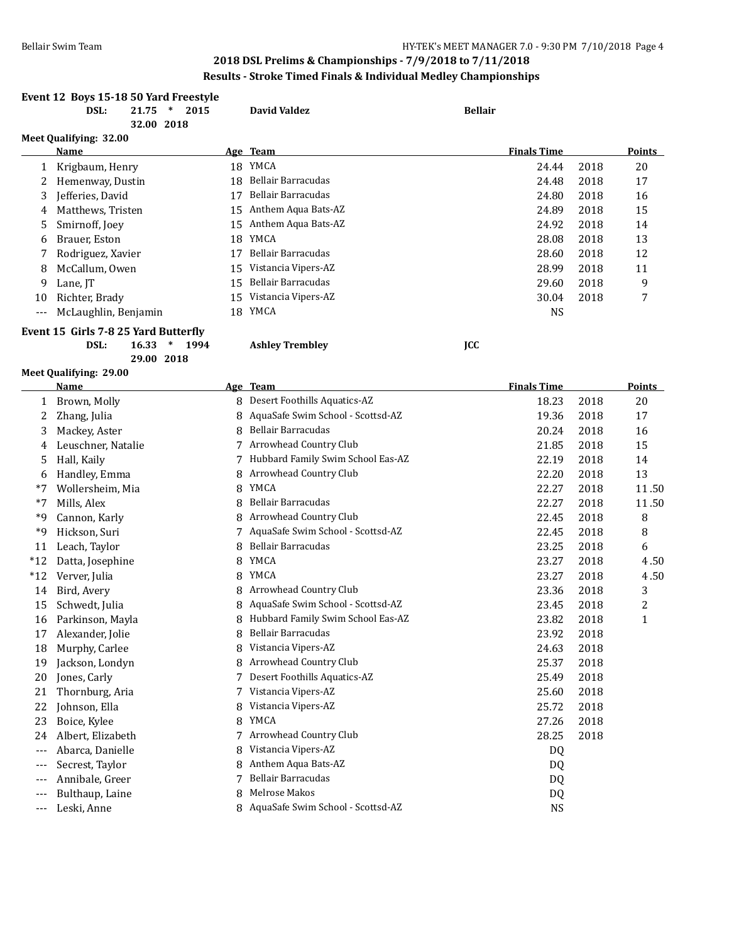|                          | Event 12 Boys 15-18 50 Yard Freestyle |                |                                     |                |                    |      |               |
|--------------------------|---------------------------------------|----------------|-------------------------------------|----------------|--------------------|------|---------------|
|                          | DSL:<br>21.75<br>32.00 2018           | $\ast$<br>2015 | <b>David Valdez</b>                 | <b>Bellair</b> |                    |      |               |
|                          | Meet Qualifying: 32.00                |                |                                     |                |                    |      |               |
|                          | Name                                  |                | Age Team                            |                | <b>Finals Time</b> |      | <b>Points</b> |
| $\mathbf{1}$             | Krigbaum, Henry                       |                | 18 YMCA                             |                | 24.44              | 2018 | 20            |
| 2                        | Hemenway, Dustin                      |                | 18 Bellair Barracudas               |                | 24.48              | 2018 | 17            |
| 3                        | Jefferies, David                      | 17             | Bellair Barracudas                  |                | 24.80              | 2018 | 16            |
| 4                        | Matthews, Tristen                     | 15             | Anthem Aqua Bats-AZ                 |                | 24.89              | 2018 | 15            |
| 5                        | Smirnoff, Joey                        |                | 15 Anthem Aqua Bats-AZ              |                | 24.92              | 2018 | 14            |
| 6                        | Brauer, Eston                         | 18             | YMCA                                |                | 28.08              | 2018 | 13            |
|                          | Rodriguez, Xavier                     | 17             | Bellair Barracudas                  |                | 28.60              | 2018 | 12            |
| 8                        | McCallum, Owen                        | 15             | Vistancia Vipers-AZ                 |                | 28.99              | 2018 | 11            |
| 9                        | Lane, JT                              | 15             | Bellair Barracudas                  |                | 29.60              | 2018 | 9             |
| 10                       | Richter, Brady                        |                | 15 Vistancia Vipers-AZ              |                | 30.04              | 2018 | 7             |
| $---$                    | McLaughlin, Benjamin                  |                | 18 YMCA                             |                | <b>NS</b>          |      |               |
|                          | Event 15 Girls 7-8 25 Yard Butterfly  |                |                                     |                |                    |      |               |
|                          | DSL:<br>16.33<br>29.00 2018           | $\ast$<br>1994 | <b>Ashley Trembley</b>              | <b>JCC</b>     |                    |      |               |
|                          | Meet Qualifying: 29.00                |                |                                     |                |                    |      |               |
|                          | Name                                  |                | Age Team                            |                | <b>Finals Time</b> |      | <b>Points</b> |
|                          | 1 Brown, Molly                        |                | 8 Desert Foothills Aquatics-AZ      |                | 18.23              | 2018 | 20            |
| 2                        | Zhang, Julia                          |                | 8 AquaSafe Swim School - Scottsd-AZ |                | 19.36              | 2018 | 17            |
| 3                        | Mackey, Aster                         | 8              | Bellair Barracudas                  |                | 20.24              | 2018 | 16            |
| 4                        | Leuschner, Natalie                    |                | 7 Arrowhead Country Club            |                | 21.85              | 2018 | 15            |
| 5                        | Hall, Kaily                           |                | 7 Hubbard Family Swim School Eas-AZ |                | 22.19              | 2018 | 14            |
| 6                        | Handley, Emma                         | 8              | Arrowhead Country Club              |                | 22.20              | 2018 | 13            |
| $*7$                     | Wollersheim, Mia                      | 8              | YMCA                                |                | 22.27              | 2018 | 11.50         |
| $*7$                     | Mills, Alex                           | 8              | <b>Bellair Barracudas</b>           |                | 22.27              | 2018 | 11.50         |
| *9                       | Cannon, Karly                         | 8              | Arrowhead Country Club              |                | 22.45              | 2018 | 8             |
| $*9$                     | Hickson, Suri                         | 7              | AquaSafe Swim School - Scottsd-AZ   |                | 22.45              | 2018 | 8             |
| 11                       | Leach, Taylor                         | 8              | Bellair Barracudas                  |                | 23.25              | 2018 | 6             |
| $*12$                    | Datta, Josephine                      | 8              | YMCA                                |                | 23.27              | 2018 | 4.50          |
| $*12$                    | Verver, Julia                         | 8              | YMCA                                |                | 23.27              | 2018 | 4.50          |
| 14                       | Bird, Avery                           |                | Arrowhead Country Club              |                | 23.36              | 2018 | 3             |
| 15                       | Schwedt, Julia                        |                | 8 AquaSafe Swim School - Scottsd-AZ |                | 23.45              | 2018 | 2             |
| 16                       | Parkinson, Mayla                      |                | 8 Hubbard Family Swim School Eas-AZ |                | 23.82              | 2018 | 1             |
| 17                       | Alexander, Jolie                      |                | Bellair Barracudas                  |                | 23.92              | 2018 |               |
| 18                       | Murphy, Carlee                        | 8              | Vistancia Vipers-AZ                 |                | 24.63              | 2018 |               |
| 19                       | Jackson, Londyn                       | 8              | Arrowhead Country Club              |                | 25.37              | 2018 |               |
| 20                       | Jones, Carly                          | 7              | Desert Foothills Aquatics-AZ        |                | 25.49              | 2018 |               |
| 21                       | Thornburg, Aria                       | 7              | Vistancia Vipers-AZ                 |                | 25.60              | 2018 |               |
| 22                       | Johnson, Ella                         | 8              | Vistancia Vipers-AZ                 |                | 25.72              | 2018 |               |
| 23                       | Boice, Kylee                          | 8              | YMCA                                |                | 27.26              | 2018 |               |
| 24                       | Albert, Elizabeth                     | 7              | Arrowhead Country Club              |                | 28.25              | 2018 |               |
| $---$                    | Abarca, Danielle                      | 8              | Vistancia Vipers-AZ                 |                | DQ                 |      |               |
| $---$                    | Secrest, Taylor                       | 8              | Anthem Aqua Bats-AZ                 |                | DQ                 |      |               |
| $---$                    | Annibale, Greer                       | 7              | Bellair Barracudas                  |                | DQ                 |      |               |
| ---                      | Bulthaup, Laine                       | 8              | Melrose Makos                       |                | DQ                 |      |               |
| $\hspace{0.05cm} \ldots$ | Leski, Anne                           |                | 8 AquaSafe Swim School - Scottsd-AZ |                | <b>NS</b>          |      |               |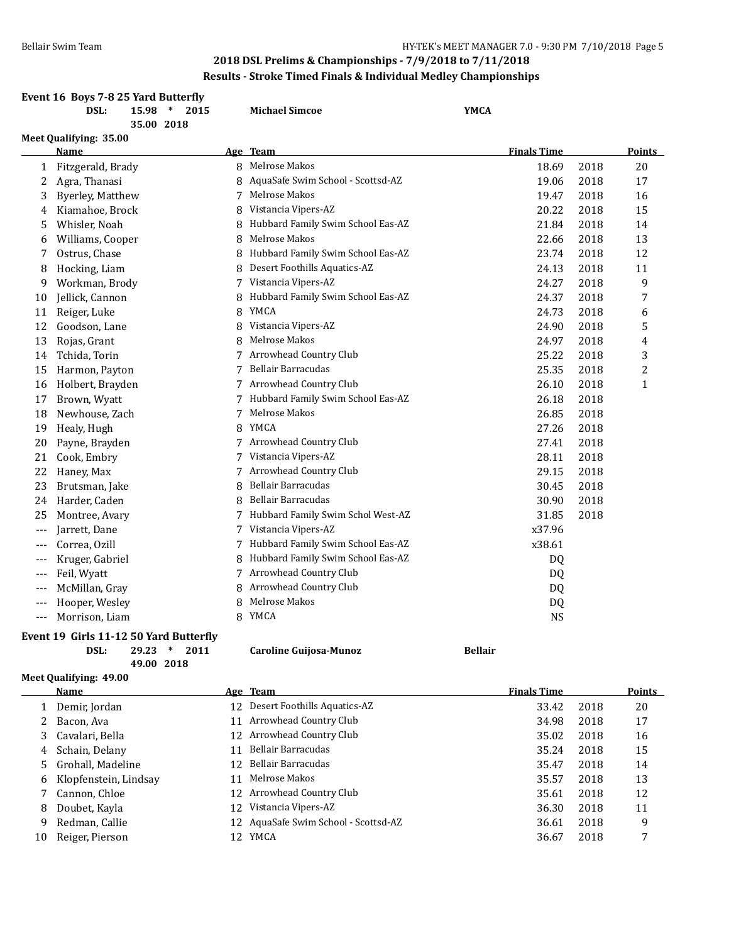|       | Results - Stroke Timed Finals & Individual Medley Championships |                         |      |   |                                     |                    |      |                |  |  |
|-------|-----------------------------------------------------------------|-------------------------|------|---|-------------------------------------|--------------------|------|----------------|--|--|
|       | Event 16 Boys 7-8 25 Yard Butterfly<br>DSL:                     | $15.98$ *<br>35.00 2018 | 2015 |   | <b>Michael Simcoe</b>               | <b>YMCA</b>        |      |                |  |  |
|       | Meet Qualifying: 35.00                                          |                         |      |   |                                     |                    |      |                |  |  |
|       | Name                                                            |                         |      |   | Age Team                            | <b>Finals Time</b> |      | <b>Points</b>  |  |  |
| 1     | Fitzgerald, Brady                                               |                         |      | 8 | Melrose Makos                       | 18.69              | 2018 | 20             |  |  |
| 2     | Agra, Thanasi                                                   |                         |      |   | AquaSafe Swim School - Scottsd-AZ   | 19.06              | 2018 | 17             |  |  |
| 3     | <b>Byerley, Matthew</b>                                         |                         |      | 7 | Melrose Makos                       | 19.47              | 2018 | 16             |  |  |
| 4     | Kiamahoe, Brock                                                 |                         |      | 8 | Vistancia Vipers-AZ                 | 20.22              | 2018 | 15             |  |  |
| 5     | Whisler, Noah                                                   |                         |      | 8 | Hubbard Family Swim School Eas-AZ   | 21.84              | 2018 | 14             |  |  |
| 6     | Williams, Cooper                                                |                         |      | 8 | Melrose Makos                       | 22.66              | 2018 | 13             |  |  |
| 7     | Ostrus, Chase                                                   |                         |      | 8 | Hubbard Family Swim School Eas-AZ   | 23.74              | 2018 | 12             |  |  |
| 8     | Hocking, Liam                                                   |                         |      | 8 | Desert Foothills Aquatics-AZ        | 24.13              | 2018 | 11             |  |  |
| 9     | Workman, Brody                                                  |                         |      | 7 | Vistancia Vipers-AZ                 | 24.27              | 2018 | 9              |  |  |
| 10    | Jellick, Cannon                                                 |                         |      | 8 | Hubbard Family Swim School Eas-AZ   | 24.37              | 2018 | 7              |  |  |
| 11    | Reiger, Luke                                                    |                         |      | 8 | YMCA                                | 24.73              | 2018 | 6              |  |  |
| 12    | Goodson, Lane                                                   |                         |      | 8 | Vistancia Vipers-AZ                 | 24.90              | 2018 | 5              |  |  |
| 13    | Rojas, Grant                                                    |                         |      | 8 | Melrose Makos                       | 24.97              | 2018 | 4              |  |  |
| 14    | Tchida, Torin                                                   |                         |      | 7 | Arrowhead Country Club              | 25.22              | 2018 | 3              |  |  |
| 15    | Harmon, Payton                                                  |                         |      | 7 | <b>Bellair Barracudas</b>           | 25.35              | 2018 | $\overline{c}$ |  |  |
| 16    | Holbert, Brayden                                                |                         |      |   | 7 Arrowhead Country Club            | 26.10              | 2018 | $\mathbf{1}$   |  |  |
| 17    | Brown, Wyatt                                                    |                         |      |   | Hubbard Family Swim School Eas-AZ   | 26.18              | 2018 |                |  |  |
| 18    | Newhouse, Zach                                                  |                         |      | 7 | Melrose Makos                       | 26.85              | 2018 |                |  |  |
| 19    | Healy, Hugh                                                     |                         |      | 8 | YMCA                                | 27.26              | 2018 |                |  |  |
| 20    | Payne, Brayden                                                  |                         |      |   | 7 Arrowhead Country Club            | 27.41              | 2018 |                |  |  |
| 21    | Cook, Embry                                                     |                         |      | 7 | Vistancia Vipers-AZ                 | 28.11              | 2018 |                |  |  |
| 22    | Haney, Max                                                      |                         |      | 7 | Arrowhead Country Club              | 29.15              | 2018 |                |  |  |
| 23    | Brutsman, Jake                                                  |                         |      | 8 | Bellair Barracudas                  | 30.45              | 2018 |                |  |  |
| 24    | Harder, Caden                                                   |                         |      | 8 | Bellair Barracudas                  | 30.90              | 2018 |                |  |  |
| 25    | Montree, Avary                                                  |                         |      | 7 | Hubbard Family Swim Schol West-AZ   | 31.85              | 2018 |                |  |  |
| $---$ | Jarrett, Dane                                                   |                         |      | 7 | Vistancia Vipers-AZ                 | x37.96             |      |                |  |  |
| $---$ | Correa, Ozill                                                   |                         |      |   | 7 Hubbard Family Swim School Eas-AZ | x38.61             |      |                |  |  |
| $---$ | Kruger, Gabriel                                                 |                         |      | 8 | Hubbard Family Swim School Eas-AZ   | DQ                 |      |                |  |  |
| $---$ | Feil, Wyatt                                                     |                         |      |   | 7 Arrowhead Country Club            | DQ                 |      |                |  |  |
| $---$ | McMillan, Gray                                                  |                         |      | 8 | Arrowhead Country Club              | DQ                 |      |                |  |  |
| ---   | Hooper, Wesley                                                  |                         |      | 8 | Melrose Makos                       | <b>DQ</b>          |      |                |  |  |
| $---$ | Morrison, Liam                                                  |                         |      |   | 8 YMCA                              | <b>NS</b>          |      |                |  |  |

## **Event 19 Girls 11-12 50 Yard Butterfly**<br>DSL: 29.23 \* 2011 **49.00 2018**

## **Meet Qualifying: 49.00**

|    | Name                    |     | Age Team                             | <b>Finals Time</b> |      | <b>Points</b> |
|----|-------------------------|-----|--------------------------------------|--------------------|------|---------------|
|    | Demir, Jordan           |     | 12 Desert Foothills Aquatics-AZ      | 33.42              | 2018 | 20            |
|    | Bacon, Ava              |     | 11 Arrowhead Country Club            | 34.98              | 2018 | 17            |
|    | 3 Cavalari, Bella       |     | 12 Arrowhead Country Club            | 35.02              | 2018 | 16            |
|    | 4 Schain, Delany        | 11  | Bellair Barracudas                   | 35.24              | 2018 | 15            |
|    | 5 Grohall, Madeline     |     | 12 Bellair Barracudas                | 35.47              | 2018 | 14            |
|    | 6 Klopfenstein, Lindsay | 11  | Melrose Makos                        | 35.57              | 2018 | 13            |
|    | Cannon, Chloe           |     | 12 Arrowhead Country Club            | 35.61              | 2018 | 12            |
| 8  | Doubet, Kayla           | 12. | Vistancia Vipers-AZ                  | 36.30              | 2018 | 11            |
| 9  | Redman, Callie          |     | 12 AquaSafe Swim School - Scottsd-AZ | 36.61              | 2018 | 9             |
| 10 | Reiger, Pierson         |     | 12 YMCA                              | 36.67              | 2018 | 7             |

**DSL: 29.23 \* 2011 Caroline Guijosa-Munoz Bellair**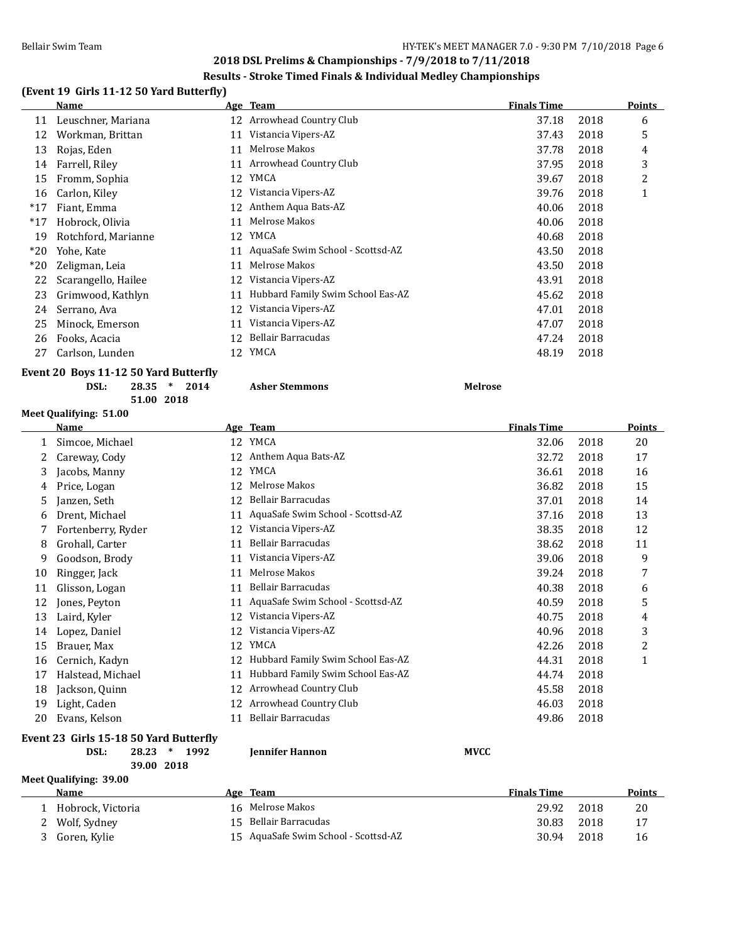#### **Results - Stroke Timed Finals & Individual Medley Championships**

## **(Event 19 Girls 11-12 50 Yard Butterfly)**

|       | Name                |    | Age Team                          | <b>Finals Time</b> |      | Points       |
|-------|---------------------|----|-----------------------------------|--------------------|------|--------------|
| 11    | Leuschner, Mariana  | 12 | Arrowhead Country Club            | 37.18              | 2018 | 6            |
| 12    | Workman, Brittan    | 11 | Vistancia Vipers-AZ               | 37.43              | 2018 | 5            |
| 13    | Rojas, Eden         | 11 | Melrose Makos                     | 37.78              | 2018 | 4            |
| 14    | Farrell, Riley      | 11 | Arrowhead Country Club            | 37.95              | 2018 | 3            |
| 15    | Fromm, Sophia       | 12 | YMCA                              | 39.67              | 2018 | 2            |
| 16    | Carlon, Kiley       | 12 | Vistancia Vipers-AZ               | 39.76              | 2018 | $\mathbf{1}$ |
| $*17$ | Fiant, Emma         | 12 | Anthem Aqua Bats-AZ               | 40.06              | 2018 |              |
| $*17$ | Hobrock, Olivia     | 11 | Melrose Makos                     | 40.06              | 2018 |              |
| 19    | Rotchford, Marianne | 12 | YMCA                              | 40.68              | 2018 |              |
| $*20$ | Yohe, Kate          | 11 | AquaSafe Swim School - Scottsd-AZ | 43.50              | 2018 |              |
| $*20$ | Zeligman, Leia      | 11 | Melrose Makos                     | 43.50              | 2018 |              |
| 22    | Scarangello, Hailee | 12 | Vistancia Vipers-AZ               | 43.91              | 2018 |              |
| 23    | Grimwood, Kathlyn   | 11 | Hubbard Family Swim School Eas-AZ | 45.62              | 2018 |              |
| 24    | Serrano, Ava        | 12 | Vistancia Vipers-AZ               | 47.01              | 2018 |              |
| 25    | Minock, Emerson     | 11 | Vistancia Vipers-AZ               | 47.07              | 2018 |              |
| 26    | Fooks, Acacia       | 12 | Bellair Barracudas                | 47.24              | 2018 |              |
| 27    | Carlson, Lunden     | 12 | YMCA                              | 48.19              | 2018 |              |
|       |                     |    |                                   |                    |      |              |

#### **Event 20 Boys 11-12 50 Yard Butterfly**

**DSL: 28.35 \* 2014 Asher Stemmons Melrose 51.00 2018**

#### **Meet Qualifying: 51.00**

|    | Name               |    | Age Team                          | <b>Finals Time</b> |      | <b>Points</b> |
|----|--------------------|----|-----------------------------------|--------------------|------|---------------|
|    | Simcoe, Michael    | 12 | YMCA                              | 32.06              | 2018 | 20            |
|    | Careway, Cody      | 12 | Anthem Aqua Bats-AZ               | 32.72              | 2018 | 17            |
| 3  | Jacobs, Manny      | 12 | YMCA                              | 36.61              | 2018 | 16            |
| 4  | Price, Logan       | 12 | Melrose Makos                     | 36.82              | 2018 | 15            |
| 5  | Janzen, Seth       | 12 | Bellair Barracudas                | 37.01              | 2018 | 14            |
| 6  | Drent, Michael     | 11 | AquaSafe Swim School - Scottsd-AZ | 37.16              | 2018 | 13            |
|    | Fortenberry, Ryder | 12 | Vistancia Vipers-AZ               | 38.35              | 2018 | 12            |
| 8  | Grohall, Carter    | 11 | Bellair Barracudas                | 38.62              | 2018 | 11            |
| 9  | Goodson, Brody     | 11 | Vistancia Vipers-AZ               | 39.06              | 2018 | 9             |
| 10 | Ringger, Jack      | 11 | Melrose Makos                     | 39.24              | 2018 | 7             |
| 11 | Glisson, Logan     | 11 | Bellair Barracudas                | 40.38              | 2018 | 6             |
| 12 | Jones, Peyton      | 11 | AquaSafe Swim School - Scottsd-AZ | 40.59              | 2018 | 5             |
| 13 | Laird, Kyler       | 12 | Vistancia Vipers-AZ               | 40.75              | 2018 | 4             |
| 14 | Lopez, Daniel      | 12 | Vistancia Vipers-AZ               | 40.96              | 2018 | 3             |
| 15 | Brauer, Max        | 12 | <b>YMCA</b>                       | 42.26              | 2018 | 2             |
| 16 | Cernich, Kadyn     | 12 | Hubbard Family Swim School Eas-AZ | 44.31              | 2018 | $\mathbf{1}$  |
| 17 | Halstead, Michael  | 11 | Hubbard Family Swim School Eas-AZ | 44.74              | 2018 |               |
| 18 | Jackson, Quinn     | 12 | Arrowhead Country Club            | 45.58              | 2018 |               |
| 19 | Light, Caden       | 12 | Arrowhead Country Club            | 46.03              | 2018 |               |
| 20 | Evans, Kelson      | 11 | Bellair Barracudas                | 49.86              | 2018 |               |

## **Event 23 Girls 15-18 50 Yard Butterfly**

| DSL: | 28.23 * 1992 |  |  | <b>Iennifer Hannon</b> | <b>MVCC</b> |
|------|--------------|--|--|------------------------|-------------|
|------|--------------|--|--|------------------------|-------------|

**39.00 2018 Meet Qualifying: 39.00**

| <b>Name</b>       | Age Team                             | <b>Finals Time</b> |      | Points |
|-------------------|--------------------------------------|--------------------|------|--------|
| Hobrock, Victoria | 16 Melrose Makos                     | 29.92              | 2018 | 20     |
| 2 Wolf, Sydney    | 15 Bellair Barracudas                | 30.83              | 2018 | -17    |
| Goren, Kylie      | 15 AguaSafe Swim School - Scottsd-AZ | 30.94              | 2018 | 16     |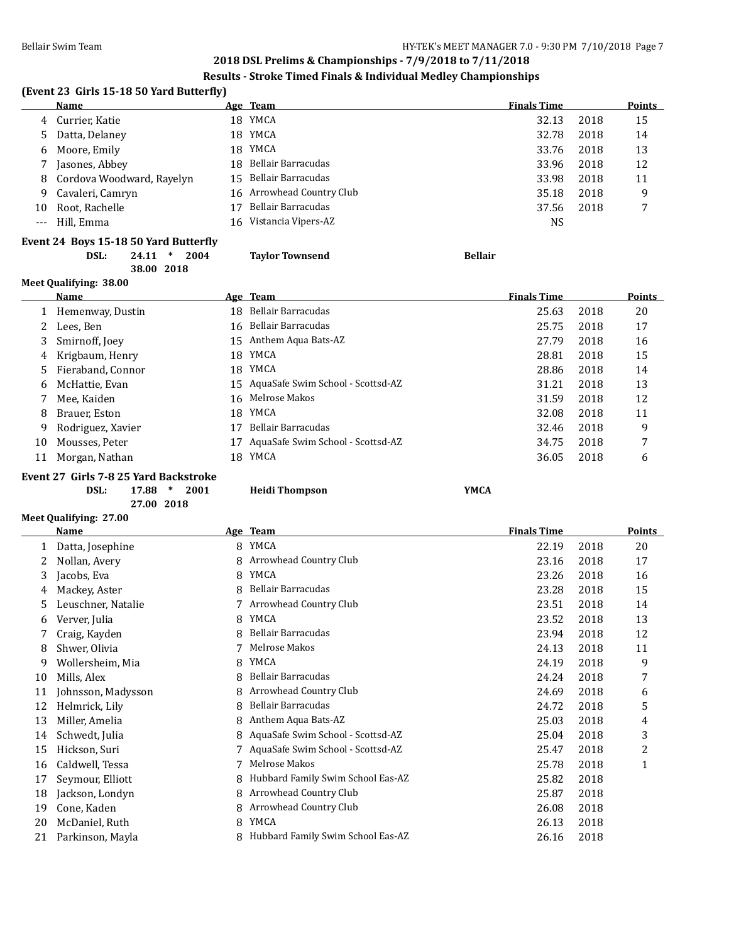#### **Results - Stroke Timed Finals & Individual Medley Championships**

## **(Event 23 Girls 15-18 50 Yard Butterfly)**

|       | <b>Name</b>                 |      | Age Team                  | <b>Finals Time</b> |      | <b>Points</b> |
|-------|-----------------------------|------|---------------------------|--------------------|------|---------------|
|       | 4 Currier, Katie            | 18   | YMCA                      | 32.13              | 2018 | 15            |
|       | 5 Datta, Delaney            | 18 - | YMCA                      | 32.78              | 2018 | 14            |
|       | 6 Moore, Emily              | 18   | YMCA                      | 33.76              | 2018 | 13            |
|       | Jasones, Abbey              |      | 18 Bellair Barracudas     | 33.96              | 2018 | 12            |
|       | 8 Cordova Woodward, Rayelyn |      | 15 Bellair Barracudas     | 33.98              | 2018 | 11            |
| 9.    | Cavaleri, Camryn            |      | 16 Arrowhead Country Club | 35.18              | 2018 | 9             |
| 10    | Root, Rachelle              |      | Bellair Barracudas        | 37.56              | 2018 |               |
| $---$ | Hill, Emma                  | 16.  | Vistancia Vipers-AZ       | NS                 |      |               |
|       |                             |      |                           |                    |      |               |

## **Event 24 Boys 15-18 50 Yard Butterfly**

#### **DSL: 24.11 \* 2004 Taylor Townsend Bellair 38.00 2018**

| Meet Qualifying: 38.00 |    |                                   |                                                                                                                                               |      |               |  |  |  |
|------------------------|----|-----------------------------------|-----------------------------------------------------------------------------------------------------------------------------------------------|------|---------------|--|--|--|
| <b>Name</b>            |    |                                   | <b>Finals Time</b>                                                                                                                            |      | <b>Points</b> |  |  |  |
| Hemenway, Dustin       |    | Bellair Barracudas                | 25.63                                                                                                                                         | 2018 | 20            |  |  |  |
| Lees, Ben              |    | Bellair Barracudas                | 25.75                                                                                                                                         | 2018 | 17            |  |  |  |
| Smirnoff, Joey         |    |                                   | 27.79                                                                                                                                         | 2018 | 16            |  |  |  |
| Krigbaum, Henry        |    | YMCA                              | 28.81                                                                                                                                         | 2018 | 15            |  |  |  |
| Fieraband, Connor      |    |                                   | 28.86                                                                                                                                         | 2018 | 14            |  |  |  |
| McHattie, Evan         |    |                                   | 31.21                                                                                                                                         | 2018 | 13            |  |  |  |
| Mee, Kaiden            |    |                                   | 31.59                                                                                                                                         | 2018 | 12            |  |  |  |
| Brauer, Eston          |    |                                   | 32.08                                                                                                                                         | 2018 | 11            |  |  |  |
| Rodriguez, Xavier      | 17 | Bellair Barracudas                | 32.46                                                                                                                                         | 2018 | 9             |  |  |  |
| Mousses, Peter         | 17 | AquaSafe Swim School - Scottsd-AZ | 34.75                                                                                                                                         | 2018 | 7             |  |  |  |
| Morgan, Nathan         |    | YMCA                              | 36.05                                                                                                                                         | 2018 | 6             |  |  |  |
|                        |    |                                   | Age Team<br>18<br>16<br>15 Anthem Aqua Bats-AZ<br>18.<br>18 YMCA<br>15 AquaSafe Swim School - Scottsd-AZ<br>16 Melrose Makos<br>18 YMCA<br>18 |      |               |  |  |  |

#### **Event 27 Girls 7-8 25 Yard Backstroke**

**DSL: 17.88 \* 2001 Heidi Thompson YMCA**

**27.00 2018**

## **Meet Qualifying: 27.00**

|    | <b>Name</b>        |    | Age Team                          | <b>Finals Time</b> |      | Points       |
|----|--------------------|----|-----------------------------------|--------------------|------|--------------|
|    | Datta, Josephine   | 8  | YMCA                              | 22.19              | 2018 | 20           |
| 2  | Nollan, Avery      | 8  | Arrowhead Country Club            | 23.16              | 2018 | 17           |
| 3  | Jacobs, Eva        | 8  | YMCA                              | 23.26              | 2018 | 16           |
| 4  | Mackey, Aster      | 8  | Bellair Barracudas                | 23.28              | 2018 | 15           |
| 5  | Leuschner, Natalie |    | Arrowhead Country Club            | 23.51              | 2018 | 14           |
| 6  | Verver, Julia      | 8  | YMCA                              | 23.52              | 2018 | 13           |
|    | Craig, Kayden      | 8  | Bellair Barracudas                | 23.94              | 2018 | 12           |
| 8  | Shwer, Olivia      | 7  | Melrose Makos                     | 24.13              | 2018 | 11           |
| 9  | Wollersheim, Mia   | 8  | YMCA                              | 24.19              | 2018 | 9            |
| 10 | Mills, Alex        | 8  | Bellair Barracudas                | 24.24              | 2018 | 7            |
| 11 | Johnsson, Madysson | 8  | Arrowhead Country Club            | 24.69              | 2018 | 6            |
| 12 | Helmrick, Lily     | 8  | Bellair Barracudas                | 24.72              | 2018 | 5            |
| 13 | Miller, Amelia     | 8  | Anthem Aqua Bats-AZ               | 25.03              | 2018 | 4            |
| 14 | Schwedt, Julia     | 8  | AquaSafe Swim School - Scottsd-AZ | 25.04              | 2018 | 3            |
| 15 | Hickson, Suri      |    | AquaSafe Swim School - Scottsd-AZ | 25.47              | 2018 | 2            |
| 16 | Caldwell, Tessa    |    | Melrose Makos                     | 25.78              | 2018 | $\mathbf{1}$ |
| 17 | Seymour, Elliott   | 8  | Hubbard Family Swim School Eas-AZ | 25.82              | 2018 |              |
| 18 | Jackson, Londyn    | 8  | Arrowhead Country Club            | 25.87              | 2018 |              |
| 19 | Cone, Kaden        | 8. | Arrowhead Country Club            | 26.08              | 2018 |              |
| 20 | McDaniel, Ruth     | 8  | YMCA                              | 26.13              | 2018 |              |
| 21 | Parkinson, Mayla   |    | Hubbard Family Swim School Eas-AZ | 26.16              | 2018 |              |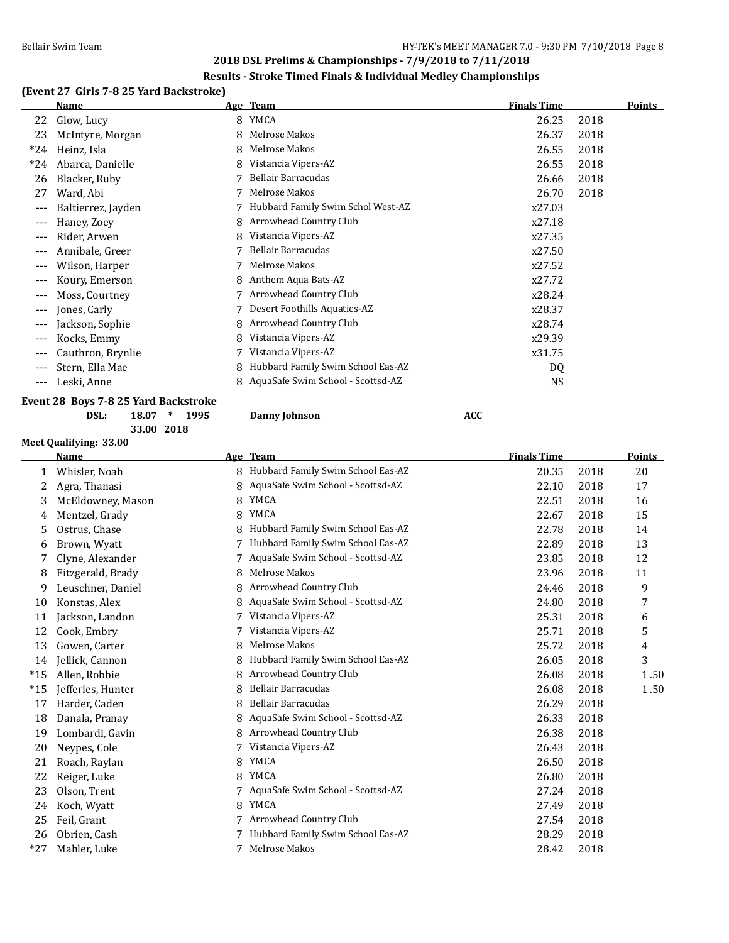#### **Results - Stroke Timed Finals & Individual Medley Championships**

#### **(Event 27 Girls 7-8 25 Yard Backstroke)**

|       | Name                     |   | Age Team                          | <b>Finals Time</b> |      | Points |
|-------|--------------------------|---|-----------------------------------|--------------------|------|--------|
| 22    | Glow, Lucy               | 8 | YMCA                              | 26.25              | 2018 |        |
| 23    | McIntyre, Morgan         | 8 | Melrose Makos                     | 26.37              | 2018 |        |
| $*24$ | Heinz, Isla              | 8 | Melrose Makos                     | 26.55              | 2018 |        |
| $*24$ | Abarca, Danielle         |   | Vistancia Vipers-AZ               | 26.55              | 2018 |        |
| 26    | Blacker, Ruby            |   | Bellair Barracudas                | 26.66              | 2018 |        |
| 27    | Ward, Abi                |   | Melrose Makos                     | 26.70              | 2018 |        |
| $---$ | Baltierrez, Jayden       |   | Hubbard Family Swim Schol West-AZ | x27.03             |      |        |
| $---$ | Haney, Zoey              |   | Arrowhead Country Club            | x27.18             |      |        |
| $---$ | Rider, Arwen             |   | Vistancia Vipers-AZ               | x27.35             |      |        |
| ---   | Annibale, Greer          |   | Bellair Barracudas                | x27.50             |      |        |
| $---$ | Wilson, Harper           |   | Melrose Makos                     | x27.52             |      |        |
| $---$ | Koury, Emerson           | 8 | Anthem Aqua Bats-AZ               | x27.72             |      |        |
| $---$ | Moss, Courtney           |   | Arrowhead Country Club            | x28.24             |      |        |
| $---$ | Jones, Carly             |   | Desert Foothills Aquatics-AZ      | x28.37             |      |        |
| $---$ | Jackson, Sophie          | 8 | Arrowhead Country Club            | x28.74             |      |        |
| $---$ | Kocks, Emmy              | 8 | Vistancia Vipers-AZ               | x29.39             |      |        |
| $---$ | Cauthron, Brynlie        |   | Vistancia Vipers-AZ               | x31.75             |      |        |
| $---$ | Stern, Ella Mae          | 8 | Hubbard Family Swim School Eas-AZ | DQ                 |      |        |
| $---$ | Leski, Anne              | 8 | AquaSafe Swim School - Scottsd-AZ | <b>NS</b>          |      |        |
|       | - - - - - - - -<br>. 00m |   |                                   |                    |      |        |

#### **Event 28 Boys 7-8 25 Yard Backstroke**

#### **DSL: 18.07 \* 1995 Danny Johnson ACC 33.00 2018**

**Meet Qualifying: 33.00 Age Team Age Team** *Age Age Age Points Points Points Points*  Whisler, Noah 8 Hubbard Family Swim School Eas-AZ 20.35 2018 20 2 Agra, Thanasi 8 AquaSafe Swim School - Scottsd-AZ 22.10 2018 17 3 McEldowney, Mason 8 YMCA 22.51 2018 16 Mentzel, Grady 8 YMCA 22.67 2018 15 Ostrus, Chase 8 Hubbard Family Swim School Eas-AZ 22.78 2018 14 Brown, Wyatt 7 Hubbard Family Swim School Eas-AZ 22.89 2018 13 Clyne, Alexander 7 AquaSafe Swim School - Scottsd-AZ 23.85 2018 12 8 Fitzgerald, Brady 8 Melrose Makos 23.96 2018 11 9 Leuschner, Daniel 8 Arrowhead Country Club 24.46 2018 9 Konstas, Alex 8 AquaSafe Swim School - Scottsd-AZ 24.80 2018 7 Jackson, Landon 7 Vistancia Vipers-AZ 25.31 2018 6 Cook, Embry 7 Vistancia Vipers-AZ 25.71 2018 5 Gowen, Carter 8 Melrose Makos 25.72 2018 4 Jellick, Cannon 8 Hubbard Family Swim School Eas-AZ 26.05 2018 3 \*15 Allen, Robbie 8 Arrowhead Country Club 26.08 2018 1 . 50 \*15 Jefferies, Hunter 8 Bellair Barracudas 26.08 2018 1 . 50 Harder, Caden 8 Bellair Barracudas 26.29 2018 Danala, Pranay 8 AquaSafe Swim School - Scottsd-AZ 26.33 2018 Lombardi, Gavin 8 Arrowhead Country Club 26.38 2018 Neypes, Cole 7 Vistancia Vipers-AZ 26.43 2018 Roach, Raylan 8 YMCA 26.50 2018 22 Reiger, Luke 26.80 and 8 YMCA 26.80 and 8 YMCA Olson, Trent 7 AquaSafe Swim School - Scottsd-AZ 27.24 2018 Koch, Wyatt 8 YMCA 27.49 2018 Feil, Grant 7 Arrowhead Country Club 27.54 2018 Obrien, Cash 7 Hubbard Family Swim School Eas-AZ 28.29 2018 \*27 Mahler, Luke 7 Melrose Makos 28.42 2018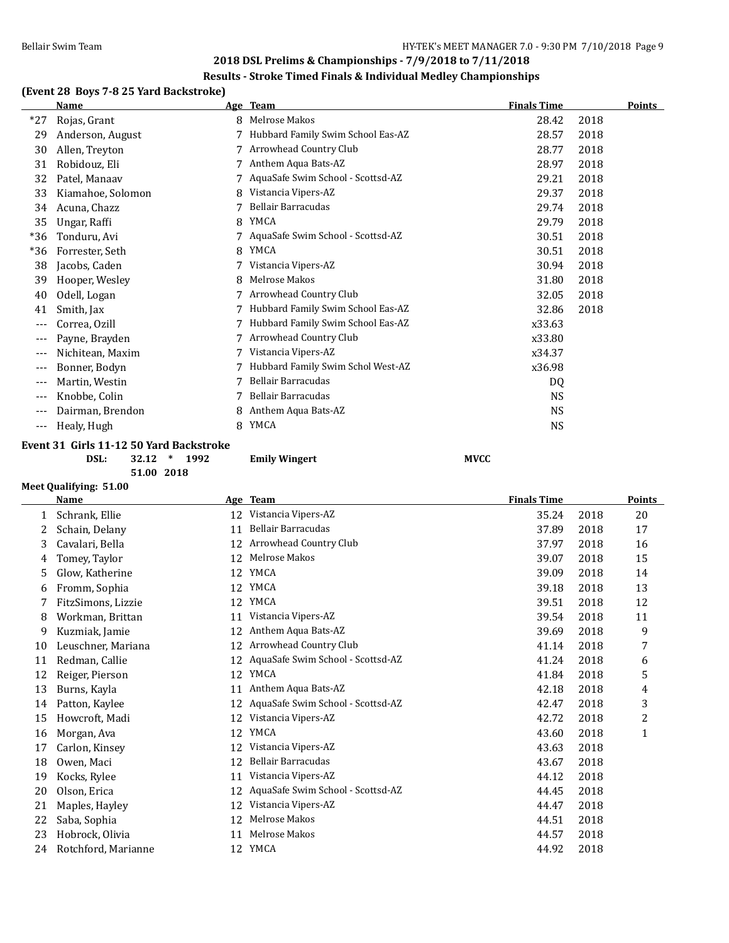#### **Results - Stroke Timed Finals & Individual Medley Championships**

## **(Event 28 Boys 7-8 25 Yard Backstroke)**

|       | <b>Name</b>       |   | Age Team                          | <b>Finals Time</b> | Points |
|-------|-------------------|---|-----------------------------------|--------------------|--------|
| *27   | Rojas, Grant      | 8 | Melrose Makos                     | 28.42              | 2018   |
| 29    | Anderson, August  |   | Hubbard Family Swim School Eas-AZ | 28.57              | 2018   |
| 30    | Allen, Treyton    |   | Arrowhead Country Club            | 28.77              | 2018   |
| 31    | Robidouz, Eli     |   | Anthem Aqua Bats-AZ               | 28.97              | 2018   |
| 32    | Patel, Manaav     |   | AquaSafe Swim School - Scottsd-AZ | 29.21              | 2018   |
| 33    | Kiamahoe, Solomon |   | Vistancia Vipers-AZ               | 29.37              | 2018   |
| 34    | Acuna, Chazz      |   | Bellair Barracudas                | 29.74              | 2018   |
| 35    | Ungar, Raffi      | 8 | YMCA                              | 29.79              | 2018   |
| $*36$ | Tonduru, Avi      |   | AquaSafe Swim School - Scottsd-AZ | 30.51              | 2018   |
| $*36$ | Forrester, Seth   | 8 | YMCA                              | 30.51              | 2018   |
| 38    | Jacobs, Caden     |   | Vistancia Vipers-AZ               | 30.94              | 2018   |
| 39    | Hooper, Wesley    | 8 | Melrose Makos                     | 31.80              | 2018   |
| 40    | Odell, Logan      |   | Arrowhead Country Club            | 32.05              | 2018   |
| 41    | Smith, Jax        |   | Hubbard Family Swim School Eas-AZ | 32.86              | 2018   |
| ---   | Correa, Ozill     |   | Hubbard Family Swim School Eas-AZ | x33.63             |        |
| ---   | Payne, Brayden    |   | Arrowhead Country Club            | x33.80             |        |
| ---   | Nichitean, Maxim  |   | Vistancia Vipers-AZ               | x34.37             |        |
| ---   | Bonner, Bodyn     |   | Hubbard Family Swim Schol West-AZ | x36.98             |        |
| $---$ | Martin, Westin    |   | Bellair Barracudas                | DQ                 |        |
| $---$ | Knobbe, Colin     |   | Bellair Barracudas                | <b>NS</b>          |        |
| ---   | Dairman, Brendon  | 8 | Anthem Aqua Bats-AZ               | <b>NS</b>          |        |
| ---   | Healy, Hugh       | 8 | YMCA                              | <b>NS</b>          |        |

#### **Event 31 Girls 11-12 50 Yard Backstroke**

#### **DSL: 32.12 \* 1992 Emily Wingert MVCC**

**51.00 2018**

#### **Meet Qualifying: 51.00**

|    | <b>Name</b>         |    | Age Team                          | <b>Finals Time</b> |      | Points |
|----|---------------------|----|-----------------------------------|--------------------|------|--------|
| 1  | Schrank, Ellie      | 12 | Vistancia Vipers-AZ               | 35.24              | 2018 | 20     |
| 2  | Schain, Delany      | 11 | <b>Bellair Barracudas</b>         | 37.89              | 2018 | 17     |
| 3  | Cavalari, Bella     | 12 | Arrowhead Country Club            | 37.97              | 2018 | 16     |
| 4  | Tomey, Taylor       | 12 | Melrose Makos                     | 39.07              | 2018 | 15     |
| 5  | Glow, Katherine     | 12 | YMCA                              | 39.09              | 2018 | 14     |
| 6  | Fromm, Sophia       | 12 | YMCA                              | 39.18              | 2018 | 13     |
| 7  | FitzSimons, Lizzie  | 12 | <b>YMCA</b>                       | 39.51              | 2018 | 12     |
| 8  | Workman, Brittan    | 11 | Vistancia Vipers-AZ               | 39.54              | 2018 | 11     |
| 9  | Kuzmiak, Jamie      | 12 | Anthem Aqua Bats-AZ               | 39.69              | 2018 | 9      |
| 10 | Leuschner, Mariana  | 12 | Arrowhead Country Club            | 41.14              | 2018 | 7      |
| 11 | Redman, Callie      | 12 | AquaSafe Swim School - Scottsd-AZ | 41.24              | 2018 | 6      |
| 12 | Reiger, Pierson     | 12 | <b>YMCA</b>                       | 41.84              | 2018 | 5      |
| 13 | Burns, Kayla        | 11 | Anthem Aqua Bats-AZ               | 42.18              | 2018 | 4      |
| 14 | Patton, Kaylee      | 12 | AquaSafe Swim School - Scottsd-AZ | 42.47              | 2018 | 3      |
| 15 | Howcroft, Madi      | 12 | Vistancia Vipers-AZ               | 42.72              | 2018 | 2      |
| 16 | Morgan, Ava         | 12 | <b>YMCA</b>                       | 43.60              | 2018 | 1      |
| 17 | Carlon, Kinsey      | 12 | Vistancia Vipers-AZ               | 43.63              | 2018 |        |
| 18 | Owen, Maci          | 12 | Bellair Barracudas                | 43.67              | 2018 |        |
| 19 | Kocks, Rylee        | 11 | Vistancia Vipers-AZ               | 44.12              | 2018 |        |
| 20 | Olson, Erica        | 12 | AquaSafe Swim School - Scottsd-AZ | 44.45              | 2018 |        |
| 21 | Maples, Hayley      | 12 | Vistancia Vipers-AZ               | 44.47              | 2018 |        |
| 22 | Saba, Sophia        | 12 | <b>Melrose Makos</b>              | 44.51              | 2018 |        |
| 23 | Hobrock, Olivia     | 11 | Melrose Makos                     | 44.57              | 2018 |        |
| 24 | Rotchford, Marianne | 12 | YMCA                              | 44.92              | 2018 |        |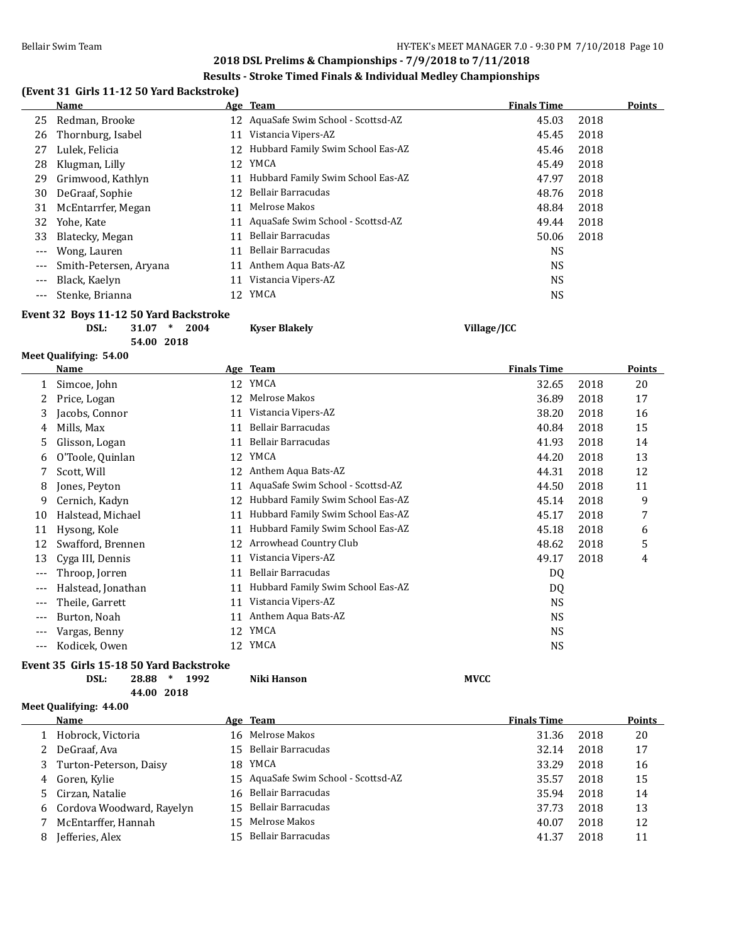#### **Results - Stroke Timed Finals & Individual Medley Championships**

## **(Event 31 Girls 11-12 50 Yard Backstroke)**

|       | <b>Name</b>            |    | Age Team                          | <b>Finals Time</b> |      | <b>Points</b> |
|-------|------------------------|----|-----------------------------------|--------------------|------|---------------|
| 25    | Redman, Brooke         | 12 | AquaSafe Swim School - Scottsd-AZ | 45.03              | 2018 |               |
| 26    | Thornburg, Isabel      |    | Vistancia Vipers-AZ               | 45.45              | 2018 |               |
| 27    | Lulek, Felicia         | 12 | Hubbard Family Swim School Eas-AZ | 45.46              | 2018 |               |
| 28    | Klugman, Lilly         | 12 | <b>YMCA</b>                       | 45.49              | 2018 |               |
| 29    | Grimwood, Kathlyn      |    | Hubbard Family Swim School Eas-AZ | 47.97              | 2018 |               |
| 30    | DeGraaf, Sophie        | 12 | Bellair Barracudas                | 48.76              | 2018 |               |
| 31    | McEntarrfer, Megan     |    | Melrose Makos                     | 48.84              | 2018 |               |
| 32    | Yohe, Kate             |    | AquaSafe Swim School - Scottsd-AZ | 49.44              | 2018 |               |
| 33    | Blatecky, Megan        |    | Bellair Barracudas                | 50.06              | 2018 |               |
| $---$ | Wong, Lauren           | 11 | Bellair Barracudas                | <b>NS</b>          |      |               |
| $---$ | Smith-Petersen, Aryana |    | Anthem Aqua Bats-AZ               | <b>NS</b>          |      |               |
|       | Black, Kaelyn          |    | Vistancia Vipers-AZ               | <b>NS</b>          |      |               |
| $---$ | Stenke, Brianna        | 12 | YMCA                              | NS.                |      |               |
|       |                        |    |                                   |                    |      |               |

#### **Event 32 Boys 11-12 50 Yard Backstroke**

**DSL: 31.07 \* 2004 Kyser Blakely Village/JCC 54.00 2018**

#### **Meet Qualifying: 54.00**

|       | Name               |    | Age Team                          | <b>Finals Time</b> |      | <b>Points</b> |
|-------|--------------------|----|-----------------------------------|--------------------|------|---------------|
| 1     | Simcoe, John       | 12 | YMCA                              | 32.65              | 2018 | 20            |
|       | Price, Logan       | 12 | Melrose Makos                     | 36.89              | 2018 | 17            |
| 3     | Jacobs, Connor     | 11 | Vistancia Vipers-AZ               | 38.20              | 2018 | 16            |
| 4     | Mills, Max         | 11 | Bellair Barracudas                | 40.84              | 2018 | 15            |
| 5     | Glisson, Logan     | 11 | Bellair Barracudas                | 41.93              | 2018 | 14            |
| 6     | O'Toole, Quinlan   | 12 | YMCA                              | 44.20              | 2018 | 13            |
|       | Scott, Will        | 12 | Anthem Aqua Bats-AZ               | 44.31              | 2018 | 12            |
| 8     | Jones, Peyton      | 11 | AquaSafe Swim School - Scottsd-AZ | 44.50              | 2018 | 11            |
| 9     | Cernich, Kadyn     | 12 | Hubbard Family Swim School Eas-AZ | 45.14              | 2018 | 9             |
| 10    | Halstead, Michael  | 11 | Hubbard Family Swim School Eas-AZ | 45.17              | 2018 | 7             |
| 11    | Hysong, Kole       | 11 | Hubbard Family Swim School Eas-AZ | 45.18              | 2018 | 6             |
| 12    | Swafford, Brennen  | 12 | Arrowhead Country Club            | 48.62              | 2018 | 5             |
| 13    | Cyga III, Dennis   | 11 | Vistancia Vipers-AZ               | 49.17              | 2018 | 4             |
|       | Throop, Jorren     | 11 | Bellair Barracudas                | DQ                 |      |               |
| $---$ | Halstead, Jonathan | 11 | Hubbard Family Swim School Eas-AZ | DQ                 |      |               |
| $---$ | Theile, Garrett    | 11 | Vistancia Vipers-AZ               | <b>NS</b>          |      |               |
| $---$ | Burton, Noah       | 11 | Anthem Aqua Bats-AZ               | NS                 |      |               |
| $---$ | Vargas, Benny      | 12 | YMCA                              | <b>NS</b>          |      |               |
|       | Kodicek, Owen      | 12 | YMCA                              | <b>NS</b>          |      |               |

#### **Event 35 Girls 15-18 50 Yard Backstroke**

**DSL: 28.88 \* 1992 Niki Hanson MVCC 44.00 2018**

## **Meet Qualifying: 44.00**

 $\overline{a}$ 

| <b>Name</b>                 |    | <u>Age Team</u>                      | <b>Finals Time</b> |      | <b>Points</b> |
|-----------------------------|----|--------------------------------------|--------------------|------|---------------|
| Hobrock, Victoria           |    | 16 Melrose Makos                     | 31.36              | 2018 | 20            |
| DeGraaf, Ava                |    | 15 Bellair Barracudas                | 32.14              | 2018 | 17            |
| 3 Turton-Peterson, Daisy    |    | 18 YMCA                              | 33.29              | 2018 | 16            |
| 4 Goren, Kylie              |    | 15 AquaSafe Swim School - Scottsd-AZ | 35.57              | 2018 | 15            |
| 5 Cirzan, Natalie           |    | 16 Bellair Barracudas                | 35.94              | 2018 | 14            |
| 6 Cordova Woodward, Rayelyn |    | 15 Bellair Barracudas                | 37.73              | 2018 | 13            |
| McEntarffer, Hannah         | 15 | Melrose Makos                        | 40.07              | 2018 | 12            |
| Jefferies, Alex             | 15 | Bellair Barracudas                   | 41.37              | 2018 | 11            |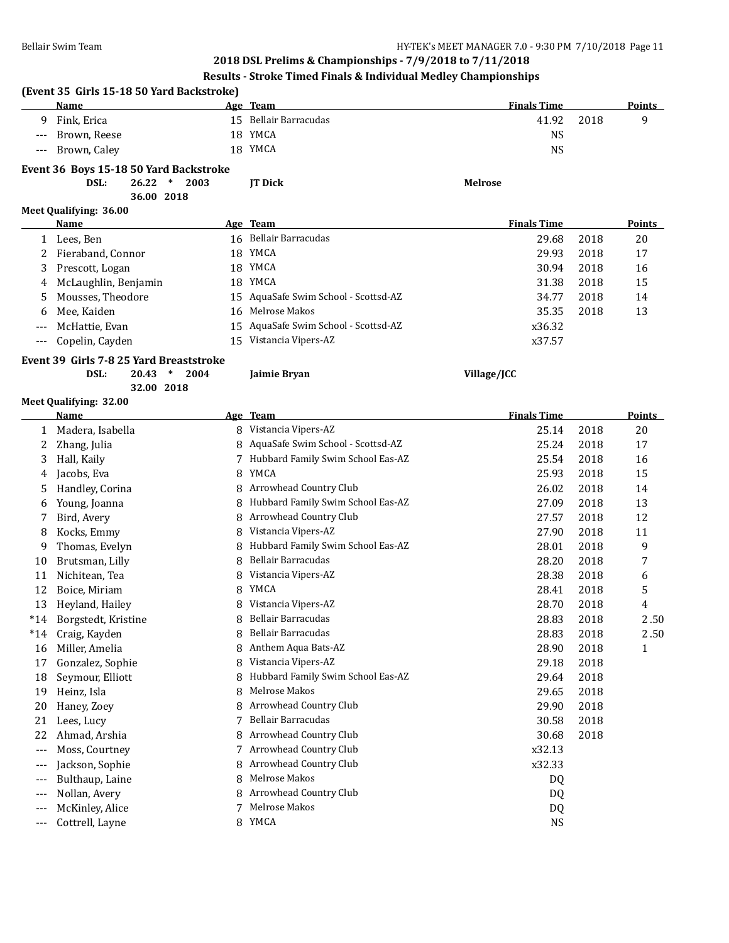## **Results - Stroke Timed Finals & Individual Medley Championships**

|                                                              | Name                                                                                                                                                      | (Event 35 Girls 15-18 50 Yard Backstroke) | Age Team                                                                                                                                                                                         | <b>Finals Time</b>                                                         |      | Points        |
|--------------------------------------------------------------|-----------------------------------------------------------------------------------------------------------------------------------------------------------|-------------------------------------------|--------------------------------------------------------------------------------------------------------------------------------------------------------------------------------------------------|----------------------------------------------------------------------------|------|---------------|
| 9                                                            | Fink, Erica                                                                                                                                               |                                           | 15 Bellair Barracudas                                                                                                                                                                            | 41.92                                                                      | 2018 | 9             |
| $\qquad \qquad - -$                                          | Brown, Reese                                                                                                                                              |                                           | 18 YMCA                                                                                                                                                                                          | <b>NS</b>                                                                  |      |               |
| $---$                                                        | Brown, Caley                                                                                                                                              |                                           | 18 YMCA                                                                                                                                                                                          | <b>NS</b>                                                                  |      |               |
|                                                              | Event 36 Boys 15-18 50 Yard Backstroke                                                                                                                    |                                           |                                                                                                                                                                                                  |                                                                            |      |               |
|                                                              | DSL:<br>$26.22$ *<br>2003                                                                                                                                 |                                           | JT Dick                                                                                                                                                                                          | <b>Melrose</b>                                                             |      |               |
|                                                              | 36.00 2018                                                                                                                                                |                                           |                                                                                                                                                                                                  |                                                                            |      |               |
|                                                              | Meet Qualifying: 36.00                                                                                                                                    |                                           |                                                                                                                                                                                                  |                                                                            |      |               |
|                                                              | <u>Name</u>                                                                                                                                               |                                           | Age Team                                                                                                                                                                                         | <b>Finals Time</b>                                                         |      | <b>Points</b> |
|                                                              | 1 Lees, Ben                                                                                                                                               |                                           | 16 Bellair Barracudas                                                                                                                                                                            | 29.68                                                                      | 2018 | 20            |
| 2                                                            | Fieraband, Connor                                                                                                                                         |                                           | 18 YMCA                                                                                                                                                                                          | 29.93                                                                      | 2018 | 17            |
| 3                                                            | Prescott, Logan                                                                                                                                           |                                           | 18 YMCA                                                                                                                                                                                          | 30.94                                                                      | 2018 | 16            |
| 4                                                            | McLaughlin, Benjamin                                                                                                                                      |                                           | 18 YMCA                                                                                                                                                                                          | 31.38                                                                      | 2018 | 15            |
| 5                                                            | Mousses, Theodore                                                                                                                                         | 15                                        | AquaSafe Swim School - Scottsd-AZ                                                                                                                                                                | 34.77                                                                      | 2018 | 14            |
| 6                                                            | Mee, Kaiden                                                                                                                                               | 16                                        | Melrose Makos                                                                                                                                                                                    | 35.35                                                                      | 2018 | 13            |
|                                                              | McHattie, Evan                                                                                                                                            | 15                                        | AquaSafe Swim School - Scottsd-AZ                                                                                                                                                                | x36.32                                                                     |      |               |
| $---$                                                        | Copelin, Cayden                                                                                                                                           | 15                                        | Vistancia Vipers-AZ                                                                                                                                                                              | x37.57                                                                     |      |               |
|                                                              | Event 39 Girls 7-8 25 Yard Breaststroke                                                                                                                   |                                           |                                                                                                                                                                                                  |                                                                            |      |               |
|                                                              | DSL:<br>20.43<br>$\ast$<br>2004                                                                                                                           |                                           | Jaimie Bryan                                                                                                                                                                                     | Village/JCC                                                                |      |               |
|                                                              | 32.00 2018                                                                                                                                                |                                           |                                                                                                                                                                                                  |                                                                            |      |               |
|                                                              | Meet Qualifying: 32.00                                                                                                                                    |                                           |                                                                                                                                                                                                  |                                                                            |      |               |
|                                                              | Name                                                                                                                                                      |                                           | Age Team                                                                                                                                                                                         | <b>Finals Time</b>                                                         |      | Points        |
| 1                                                            | Madera, Isabella                                                                                                                                          |                                           | 8 Vistancia Vipers-AZ                                                                                                                                                                            | 25.14                                                                      | 2018 | 20            |
| 2                                                            | Zhang, Julia                                                                                                                                              |                                           | AquaSafe Swim School - Scottsd-AZ                                                                                                                                                                | 25.24                                                                      | 2018 | 17            |
| 3                                                            | Hall, Kaily                                                                                                                                               | 7                                         | Hubbard Family Swim School Eas-AZ                                                                                                                                                                | 25.54                                                                      | 2018 | 16            |
| 4                                                            | Jacobs, Eva                                                                                                                                               | 8                                         | YMCA                                                                                                                                                                                             | 25.93                                                                      | 2018 | 15            |
| 5                                                            | Handley, Corina                                                                                                                                           | 8                                         | Arrowhead Country Club                                                                                                                                                                           | 26.02                                                                      | 2018 | 14            |
| 6                                                            | Young, Joanna                                                                                                                                             | 8                                         | Hubbard Family Swim School Eas-AZ                                                                                                                                                                | 27.09                                                                      | 2018 | 13            |
| 7                                                            | Bird, Avery                                                                                                                                               | 8                                         | Arrowhead Country Club                                                                                                                                                                           | 27.57                                                                      | 2018 | 12            |
| 8                                                            | Kocks, Emmy                                                                                                                                               | 8                                         | Vistancia Vipers-AZ                                                                                                                                                                              | 27.90                                                                      | 2018 | 11            |
| 9                                                            | Thomas, Evelyn                                                                                                                                            | 8                                         | Hubbard Family Swim School Eas-AZ                                                                                                                                                                | 28.01                                                                      | 2018 | 9             |
| 10                                                           | Brutsman, Lilly                                                                                                                                           | 8                                         | Bellair Barracudas                                                                                                                                                                               | 28.20                                                                      | 2018 | 7             |
| 11                                                           | Nichitean, Tea                                                                                                                                            | 8                                         | Vistancia Vipers-AZ                                                                                                                                                                              | 28.38                                                                      | 2018 | 6             |
| 12                                                           | Boice, Miriam                                                                                                                                             | 8                                         | YMCA                                                                                                                                                                                             | 28.41                                                                      | 2018 | 5             |
| 13                                                           | Heyland, Hailey                                                                                                                                           | 8                                         | Vistancia Vipers-AZ                                                                                                                                                                              | 28.70                                                                      | 2018 | 4             |
| $*14$                                                        | Borgstedt, Kristine                                                                                                                                       | 8                                         | Bellair Barracudas                                                                                                                                                                               | 28.83                                                                      | 2018 | 2.50          |
| $*14$                                                        | Craig, Kayden                                                                                                                                             | 8                                         | Bellair Barracudas                                                                                                                                                                               | 28.83                                                                      | 2018 | 2.50          |
| 16                                                           | Miller, Amelia                                                                                                                                            | 8                                         | Anthem Aqua Bats-AZ                                                                                                                                                                              | 28.90                                                                      | 2018 | $\mathbf{1}$  |
| 17                                                           | Gonzalez, Sophie                                                                                                                                          | 8                                         | Vistancia Vipers-AZ                                                                                                                                                                              | 29.18                                                                      | 2018 |               |
| 18                                                           | Seymour, Elliott                                                                                                                                          | 8                                         | Hubbard Family Swim School Eas-AZ                                                                                                                                                                | 29.64                                                                      | 2018 |               |
| 19                                                           | Heinz, Isla                                                                                                                                               | 8                                         | Melrose Makos                                                                                                                                                                                    | 29.65                                                                      | 2018 |               |
|                                                              |                                                                                                                                                           |                                           |                                                                                                                                                                                                  |                                                                            | 2018 |               |
|                                                              |                                                                                                                                                           |                                           |                                                                                                                                                                                                  |                                                                            |      |               |
|                                                              |                                                                                                                                                           |                                           |                                                                                                                                                                                                  |                                                                            |      |               |
|                                                              |                                                                                                                                                           |                                           |                                                                                                                                                                                                  |                                                                            |      |               |
|                                                              |                                                                                                                                                           |                                           |                                                                                                                                                                                                  |                                                                            |      |               |
| $---$                                                        |                                                                                                                                                           |                                           |                                                                                                                                                                                                  |                                                                            |      |               |
| ---                                                          |                                                                                                                                                           |                                           |                                                                                                                                                                                                  |                                                                            |      |               |
|                                                              |                                                                                                                                                           |                                           |                                                                                                                                                                                                  |                                                                            |      |               |
| 20<br>21<br>22<br>$\scriptstyle{\cdots}$ .<br>$---$<br>$---$ | Haney, Zoey<br>Lees, Lucy<br>Ahmad, Arshia<br>Moss, Courtney<br>Jackson, Sophie<br>Bulthaup, Laine<br>Nollan, Avery<br>McKinley, Alice<br>Cottrell, Layne | 8<br>7<br>8<br>7<br>8<br>8<br>8<br>7      | Arrowhead Country Club<br>Bellair Barracudas<br>Arrowhead Country Club<br>Arrowhead Country Club<br>Arrowhead Country Club<br>Melrose Makos<br>Arrowhead Country Club<br>Melrose Makos<br>8 YMCA | 29.90<br>30.58<br>30.68<br>x32.13<br>x32.33<br>DQ<br>DQ<br>DQ<br><b>NS</b> |      | 2018<br>2018  |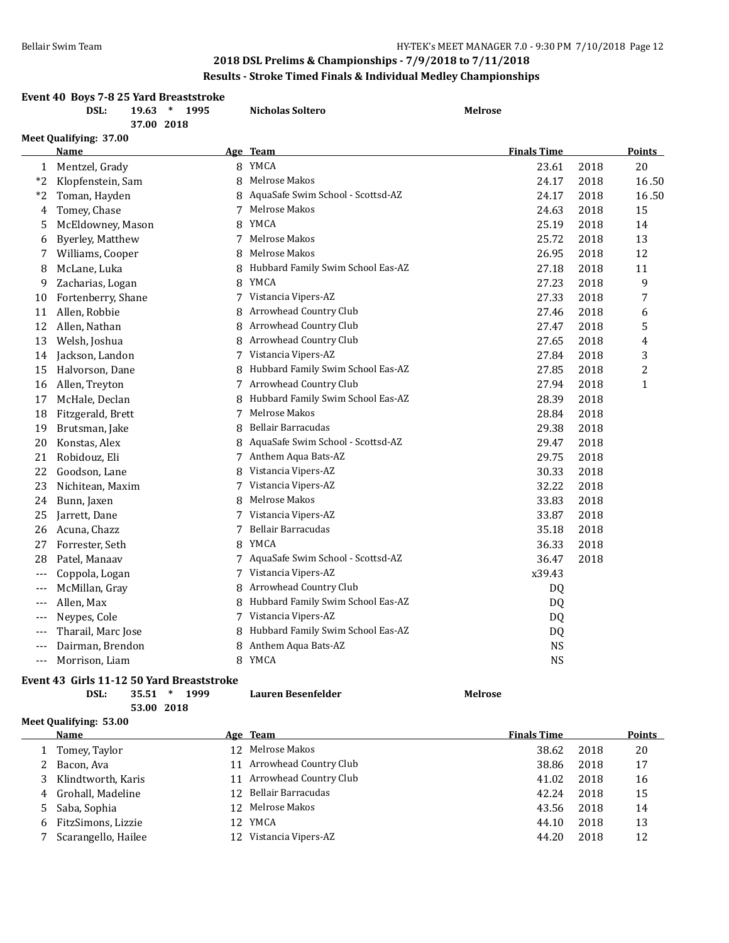|       | Results - Stroke Timed Finals & Individual Medley Championships           |      |                                     |                    |      |                |
|-------|---------------------------------------------------------------------------|------|-------------------------------------|--------------------|------|----------------|
|       | Event 40 Boys 7-8 25 Yard Breaststroke<br>DSL:<br>$19.63$ *<br>37.00 2018 | 1995 | <b>Nicholas Soltero</b>             | <b>Melrose</b>     |      |                |
|       | Meet Qualifying: 37.00                                                    |      |                                     |                    |      |                |
|       | <b>Name</b>                                                               |      | Age Team                            | <b>Finals Time</b> |      | Points         |
|       | 1 Mentzel, Grady                                                          |      | 8 YMCA                              | 23.61              | 2018 | 20             |
| $*2$  | Klopfenstein, Sam                                                         | 8    | Melrose Makos                       | 24.17              | 2018 | 16.50          |
| *2    | Toman, Hayden                                                             |      | 8 AquaSafe Swim School - Scottsd-AZ | 24.17              | 2018 | 16.50          |
| 4     | Tomey, Chase                                                              | 7    | Melrose Makos                       | 24.63              | 2018 | 15             |
| 5     | McEldowney, Mason                                                         | 8    | <b>YMCA</b>                         | 25.19              | 2018 | 14             |
| 6     | <b>Byerley, Matthew</b>                                                   |      | 7 Melrose Makos                     | 25.72              | 2018 | 13             |
| 7     | Williams, Cooper                                                          | 8    | Melrose Makos                       | 26.95              | 2018 | 12             |
| 8     | McLane, Luka                                                              | 8    | Hubbard Family Swim School Eas-AZ   | 27.18              | 2018 | 11             |
| 9     | Zacharias, Logan                                                          | 8    | YMCA                                | 27.23              | 2018 | 9              |
| 10    | Fortenberry, Shane                                                        |      | 7 Vistancia Vipers-AZ               | 27.33              | 2018 | 7              |
| 11    | Allen, Robbie                                                             | 8    | Arrowhead Country Club              | 27.46              | 2018 | 6              |
| 12    | Allen, Nathan                                                             | 8    | Arrowhead Country Club              | 27.47              | 2018 | 5              |
| 13    | Welsh, Joshua                                                             | 8    | Arrowhead Country Club              | 27.65              | 2018 | 4              |
| 14    | Jackson, Landon                                                           |      | 7 Vistancia Vipers-AZ               | 27.84              | 2018 | 3              |
| 15    | Halvorson, Dane                                                           | 8    | Hubbard Family Swim School Eas-AZ   | 27.85              | 2018 | $\overline{c}$ |
| 16    | Allen, Treyton                                                            |      | 7 Arrowhead Country Club            | 27.94              | 2018 | $\mathbf{1}$   |
| 17    | McHale, Declan                                                            | 8    | Hubbard Family Swim School Eas-AZ   | 28.39              | 2018 |                |
| 18    | Fitzgerald, Brett                                                         | 7    | Melrose Makos                       | 28.84              | 2018 |                |
| 19    | Brutsman, Jake                                                            | 8    | Bellair Barracudas                  | 29.38              | 2018 |                |
| 20    | Konstas, Alex                                                             | 8    | AquaSafe Swim School - Scottsd-AZ   | 29.47              | 2018 |                |
| 21    | Robidouz, Eli                                                             |      | 7 Anthem Aqua Bats-AZ               | 29.75              | 2018 |                |
| 22    | Goodson, Lane                                                             | 8    | Vistancia Vipers-AZ                 | 30.33              | 2018 |                |
| 23    | Nichitean, Maxim                                                          |      | 7 Vistancia Vipers-AZ               | 32.22              | 2018 |                |
| 24    | Bunn, Jaxen                                                               | 8    | Melrose Makos                       | 33.83              | 2018 |                |
| 25    | Jarrett, Dane                                                             | 7    | Vistancia Vipers-AZ                 | 33.87              | 2018 |                |
| 26    | Acuna, Chazz                                                              | 7    | Bellair Barracudas                  | 35.18              | 2018 |                |
| 27    | Forrester, Seth                                                           |      | 8 YMCA                              | 36.33              | 2018 |                |
| 28    | Patel, Manaav                                                             |      | 7 AquaSafe Swim School - Scottsd-AZ | 36.47              | 2018 |                |
| $---$ | Coppola, Logan                                                            | 7    | Vistancia Vipers-AZ                 | x39.43             |      |                |
| ---   | McMillan, Gray                                                            | 8    | Arrowhead Country Club              | DQ                 |      |                |
| $---$ | Allen, Max                                                                | 8    | Hubbard Family Swim School Eas-AZ   | DQ                 |      |                |
| ---   | Neypes, Cole                                                              |      | 7 Vistancia Vipers-AZ               | DQ                 |      |                |
| $---$ | Tharail, Marc Jose                                                        | 8    | Hubbard Family Swim School Eas-AZ   | DQ                 |      |                |
| $---$ | Dairman, Brendon                                                          | 8    | Anthem Aqua Bats-AZ                 | <b>NS</b>          |      |                |
| $---$ | Morrison, Liam                                                            |      | 8 YMCA                              | <b>NS</b>          |      |                |

#### **Event 43 Girls 11-12 50 Yard Breaststroke**

| DSL: | $35.51$ * | 1999 | Lauren Besenfelder | <b>Melrose</b> |
|------|-----------|------|--------------------|----------------|
|      |           |      |                    |                |

**53.00 2018**

## **Meet Qualifying: 53.00**

| Name                 |                 | Age Team               | <b>Finals Time</b> |      | <b>Points</b> |
|----------------------|-----------------|------------------------|--------------------|------|---------------|
| 1 Tomey, Taylor      | 12 <sup>1</sup> | Melrose Makos          | 38.62              | 2018 | 20            |
| 2 Bacon, Ava         | 11              | Arrowhead Country Club | 38.86              | 2018 | 17            |
| 3 Klindtworth, Karis | 11              | Arrowhead Country Club | 41.02              | 2018 | 16            |
| 4 Grohall, Madeline  |                 | 12 Bellair Barracudas  | 42.24              | 2018 | 15            |
| 5 Saba, Sophia       |                 | 12 Melrose Makos       | 43.56              | 2018 | 14            |
| 6 FitzSimons, Lizzie | 12.             | YMCA                   | 44.10              | 2018 | 13            |
| Scarangello, Hailee  | 12.             | Vistancia Vipers-AZ    | 44.20              | 2018 | 12            |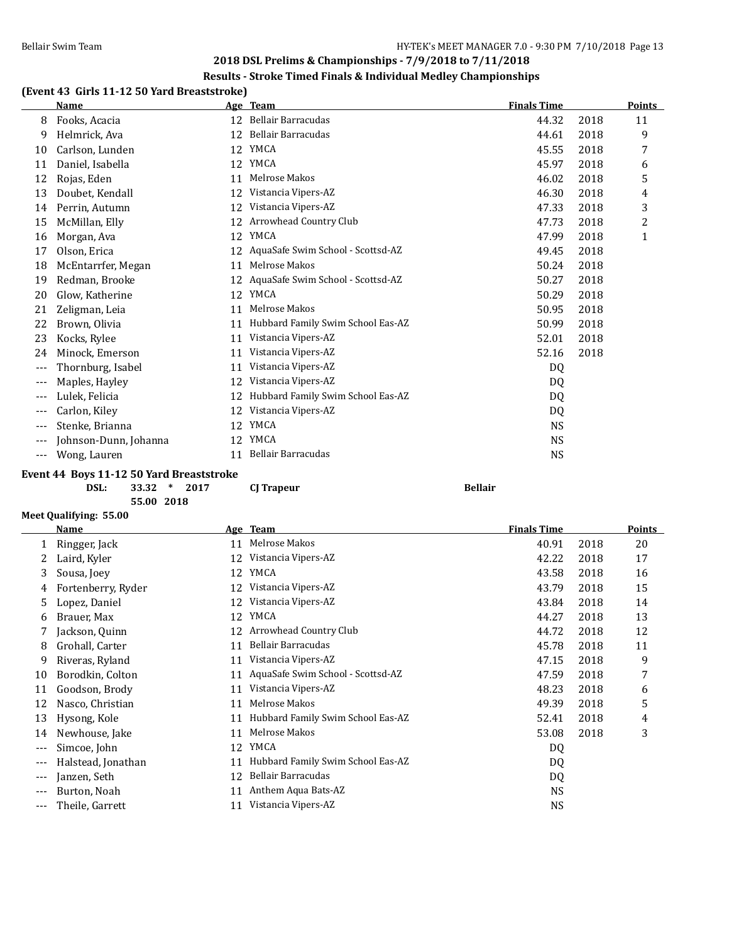#### **Results - Stroke Timed Finals & Individual Medley Championships**

## **(Event 43 Girls 11-12 50 Yard Breaststroke)**

|       | <b>Name</b>           | Age | <b>Team</b>                       | <b>Finals Time</b> |      | Points |
|-------|-----------------------|-----|-----------------------------------|--------------------|------|--------|
| 8     | Fooks, Acacia         | 12  | <b>Bellair Barracudas</b>         | 44.32              | 2018 | 11     |
| 9     | Helmrick, Ava         | 12  | Bellair Barracudas                | 44.61              | 2018 | 9      |
| 10    | Carlson, Lunden       | 12  | YMCA                              | 45.55              | 2018 | 7      |
| 11    | Daniel, Isabella      | 12  | YMCA                              | 45.97              | 2018 | 6      |
| 12    | Rojas, Eden           | 11  | Melrose Makos                     | 46.02              | 2018 | 5      |
| 13    | Doubet, Kendall       | 12  | Vistancia Vipers-AZ               | 46.30              | 2018 | 4      |
| 14    | Perrin, Autumn        | 12  | Vistancia Vipers-AZ               | 47.33              | 2018 | 3      |
| 15    | McMillan, Elly        | 12  | Arrowhead Country Club            | 47.73              | 2018 | 2      |
| 16    | Morgan, Ava           | 12  | YMCA                              | 47.99              | 2018 | 1      |
| 17    | Olson, Erica          | 12  | AquaSafe Swim School - Scottsd-AZ | 49.45              | 2018 |        |
| 18    | McEntarrfer, Megan    | 11  | Melrose Makos                     | 50.24              | 2018 |        |
| 19    | Redman, Brooke        | 12  | AquaSafe Swim School - Scottsd-AZ | 50.27              | 2018 |        |
| 20    | Glow, Katherine       | 12  | YMCA                              | 50.29              | 2018 |        |
| 21    | Zeligman, Leia        | 11  | Melrose Makos                     | 50.95              | 2018 |        |
| 22    | Brown, Olivia         | 11  | Hubbard Family Swim School Eas-AZ | 50.99              | 2018 |        |
| 23    | Kocks, Rylee          | 11  | Vistancia Vipers-AZ               | 52.01              | 2018 |        |
| 24    | Minock, Emerson       | 11  | Vistancia Vipers-AZ               | 52.16              | 2018 |        |
| $---$ | Thornburg, Isabel     | 11  | Vistancia Vipers-AZ               | DQ                 |      |        |
| $---$ | Maples, Hayley        | 12  | Vistancia Vipers-AZ               | DQ                 |      |        |
| $---$ | Lulek, Felicia        | 12  | Hubbard Family Swim School Eas-AZ | DQ                 |      |        |
| $---$ | Carlon, Kiley         | 12  | Vistancia Vipers-AZ               | DQ                 |      |        |
| $---$ | Stenke, Brianna       | 12  | YMCA                              | <b>NS</b>          |      |        |
| $---$ | Johnson-Dunn, Johanna | 12  | YMCA                              | <b>NS</b>          |      |        |
| $---$ | Wong, Lauren          | 11  | Bellair Barracudas                | NS                 |      |        |

#### **Event 44 Boys 11-12 50 Yard Breaststroke**

| DSL: | 33.32      | $\ast$ | 20 |
|------|------------|--------|----|
|      | 55.00 2018 |        |    |

**DSL: 33.32 \* 2017 CJ Trapeur Bellair**

#### **Meet Qualifying: 55.00**

|     | <b>Name</b>        |    | Age Team                          | <b>Finals Time</b> |      | <b>Points</b> |
|-----|--------------------|----|-----------------------------------|--------------------|------|---------------|
|     | Ringger, Jack      | 11 | Melrose Makos                     | 40.91              | 2018 | 20            |
|     | Laird, Kyler       | 12 | Vistancia Vipers-AZ               | 42.22              | 2018 | 17            |
| 3   | Sousa, Joey        | 12 | <b>YMCA</b>                       | 43.58              | 2018 | 16            |
| 4   | Fortenberry, Ryder | 12 | Vistancia Vipers-AZ               | 43.79              | 2018 | 15            |
| 5   | Lopez, Daniel      | 12 | Vistancia Vipers-AZ               | 43.84              | 2018 | 14            |
| 6   | Brauer, Max        | 12 | YMCA                              | 44.27              | 2018 | 13            |
|     | Jackson, Quinn     | 12 | Arrowhead Country Club            | 44.72              | 2018 | 12            |
| 8   | Grohall, Carter    | 11 | Bellair Barracudas                | 45.78              | 2018 | 11            |
| 9   | Riveras, Ryland    | 11 | Vistancia Vipers-AZ               | 47.15              | 2018 | 9             |
| 10  | Borodkin, Colton   | 11 | AquaSafe Swim School - Scottsd-AZ | 47.59              | 2018 | 7             |
| 11  | Goodson, Brody     | 11 | Vistancia Vipers-AZ               | 48.23              | 2018 | 6             |
| 12  | Nasco, Christian   | 11 | Melrose Makos                     | 49.39              | 2018 | 5             |
| 13  | Hysong, Kole       | 11 | Hubbard Family Swim School Eas-AZ | 52.41              | 2018 | 4             |
| 14  | Newhouse, Jake     | 11 | Melrose Makos                     | 53.08              | 2018 | 3             |
| --- | Simcoe, John       | 12 | YMCA                              | DQ                 |      |               |
| --- | Halstead, Jonathan | 11 | Hubbard Family Swim School Eas-AZ | DQ                 |      |               |
| --- | Janzen, Seth       | 12 | Bellair Barracudas                | DQ                 |      |               |
| --- | Burton, Noah       | 11 | Anthem Aqua Bats-AZ               | NS                 |      |               |
| --- | Theile, Garrett    | 11 | Vistancia Vipers-AZ               | NS                 |      |               |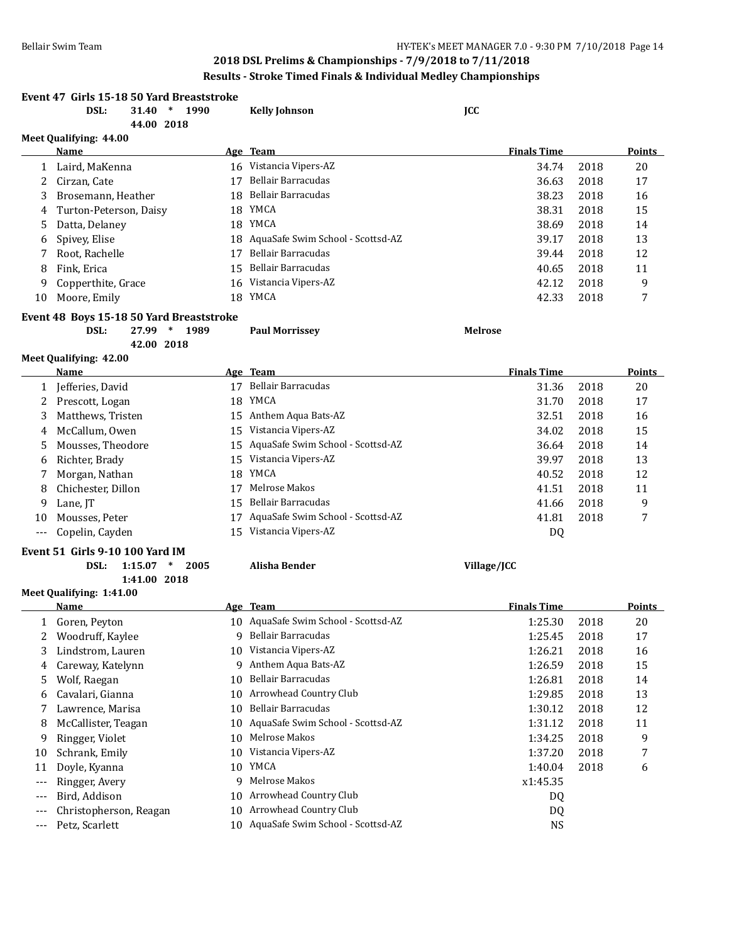| Event 47 Girls 15-18 50 Yard Breaststroke<br>DSL:<br>31.40<br>$\ast$<br>1990<br>44.00 2018 |                                          |    | <b>Kelly Johnson</b>                 | JCC                |      |               |
|--------------------------------------------------------------------------------------------|------------------------------------------|----|--------------------------------------|--------------------|------|---------------|
|                                                                                            | Meet Qualifying: 44.00                   |    |                                      |                    |      |               |
|                                                                                            | Name                                     |    | Age Team                             | <b>Finals Time</b> |      | Points        |
| 1                                                                                          | Laird, MaKenna                           |    | 16 Vistancia Vipers-AZ               | 34.74              | 2018 | 20            |
| 2                                                                                          | Cirzan, Cate                             | 17 | Bellair Barracudas                   | 36.63              | 2018 | 17            |
| 3                                                                                          | Brosemann, Heather                       | 18 | Bellair Barracudas                   | 38.23              | 2018 | 16            |
| 4                                                                                          | Turton-Peterson, Daisy                   |    | 18 YMCA                              | 38.31              | 2018 | 15            |
| 5                                                                                          | Datta, Delaney                           |    | 18 YMCA                              | 38.69              | 2018 | 14            |
| 6                                                                                          | Spivey, Elise                            | 18 | AquaSafe Swim School - Scottsd-AZ    | 39.17              | 2018 | 13            |
| 7                                                                                          | Root, Rachelle                           | 17 | Bellair Barracudas                   | 39.44              | 2018 | 12            |
| 8                                                                                          | Fink, Erica                              | 15 | Bellair Barracudas                   | 40.65              | 2018 | 11            |
| 9                                                                                          | Copperthite, Grace                       | 16 | Vistancia Vipers-AZ                  | 42.12              | 2018 | 9             |
| 10                                                                                         | Moore, Emily                             | 18 | YMCA                                 | 42.33              | 2018 | 7             |
|                                                                                            | Event 48 Boys 15-18 50 Yard Breaststroke |    |                                      |                    |      |               |
|                                                                                            | $\ast$<br>1989<br>DSL:<br>27.99          |    | <b>Paul Morrissey</b>                | <b>Melrose</b>     |      |               |
|                                                                                            | 42.00 2018                               |    |                                      |                    |      |               |
|                                                                                            | Meet Qualifying: 42.00                   |    |                                      |                    |      |               |
|                                                                                            | <b>Name</b>                              |    | Age Team                             | <b>Finals Time</b> |      | <b>Points</b> |
|                                                                                            | 1 Jefferies, David                       |    | 17 Bellair Barracudas                | 31.36              | 2018 | 20            |
| 2                                                                                          | Prescott, Logan                          |    | 18 YMCA                              | 31.70              | 2018 | 17            |
| 3                                                                                          | Matthews, Tristen                        |    | 15 Anthem Aqua Bats-AZ               | 32.51              | 2018 | 16            |
| 4                                                                                          | McCallum, Owen                           |    | 15 Vistancia Vipers-AZ               | 34.02              | 2018 | 15            |
| 5                                                                                          | Mousses, Theodore                        | 15 | AquaSafe Swim School - Scottsd-AZ    | 36.64              | 2018 | 14            |
| 6                                                                                          | Richter, Brady                           | 15 | Vistancia Vipers-AZ                  | 39.97              | 2018 | 13            |
| 7                                                                                          | Morgan, Nathan                           | 18 | YMCA                                 | 40.52              | 2018 | 12            |
| 8                                                                                          | Chichester, Dillon                       | 17 | Melrose Makos                        | 41.51              | 2018 | 11            |
| 9                                                                                          | Lane, JT                                 | 15 | Bellair Barracudas                   | 41.66              | 2018 | 9             |
| 10                                                                                         | Mousses, Peter                           | 17 | AquaSafe Swim School - Scottsd-AZ    | 41.81              | 2018 | 7             |
| $---$                                                                                      | Copelin, Cayden                          |    | 15 Vistancia Vipers-AZ               | DQ                 |      |               |
|                                                                                            |                                          |    |                                      |                    |      |               |
|                                                                                            | <b>Event 51 Girls 9-10 100 Yard IM</b>   |    |                                      |                    |      |               |
|                                                                                            | DSL:<br>1:15.07<br>$\ast$<br>2005        |    | <b>Alisha Bender</b>                 | Village/JCC        |      |               |
|                                                                                            | 1:41.00 2018<br>Meet Qualifying: 1:41.00 |    |                                      |                    |      |               |
|                                                                                            | <u>Name</u>                              |    | Age Team                             | <b>Finals Time</b> |      | Points        |
| 1                                                                                          | Goren, Peyton                            |    | 10 AquaSafe Swim School - Scottsd-AZ | 1:25.30            | 2018 | 20            |
| 2                                                                                          | Woodruff, Kaylee                         | 9  | Bellair Barracudas                   | 1:25.45            | 2018 | 17            |
| 3                                                                                          | Lindstrom, Lauren                        | 10 | Vistancia Vipers-AZ                  | 1:26.21            | 2018 | 16            |
| 4                                                                                          | Careway, Katelynn                        | 9  | Anthem Aqua Bats-AZ                  | 1:26.59            | 2018 | 15            |
| 5                                                                                          | Wolf, Raegan                             | 10 | <b>Bellair Barracudas</b>            | 1:26.81            | 2018 | 14            |
|                                                                                            | Cavalari, Gianna                         | 10 | Arrowhead Country Club               | 1:29.85            | 2018 | 13            |
| 6                                                                                          | Lawrence, Marisa                         | 10 | Bellair Barracudas                   |                    | 2018 | 12            |
| 7                                                                                          |                                          |    | AquaSafe Swim School - Scottsd-AZ    | 1:30.12            |      |               |
| 8                                                                                          | McCallister, Teagan                      | 10 | Melrose Makos                        | 1:31.12            | 2018 | 11            |
| 9                                                                                          | Ringger, Violet                          | 10 | Vistancia Vipers-AZ                  | 1:34.25            | 2018 | 9             |
| 10                                                                                         | Schrank, Emily                           | 10 |                                      | 1:37.20            | 2018 | 7             |
| 11                                                                                         | Doyle, Kyanna                            | 10 | YMCA                                 | 1:40.04            | 2018 | 6             |
| $---$                                                                                      | Ringger, Avery                           | 9  | Melrose Makos                        | x1:45.35           |      |               |
| ---                                                                                        | Bird, Addison                            | 10 | Arrowhead Country Club               | DQ                 |      |               |
| ---                                                                                        | Christopherson, Reagan                   | 10 | Arrowhead Country Club               | DQ                 |      |               |
| $---$                                                                                      | Petz, Scarlett                           | 10 | AquaSafe Swim School - Scottsd-AZ    | <b>NS</b>          |      |               |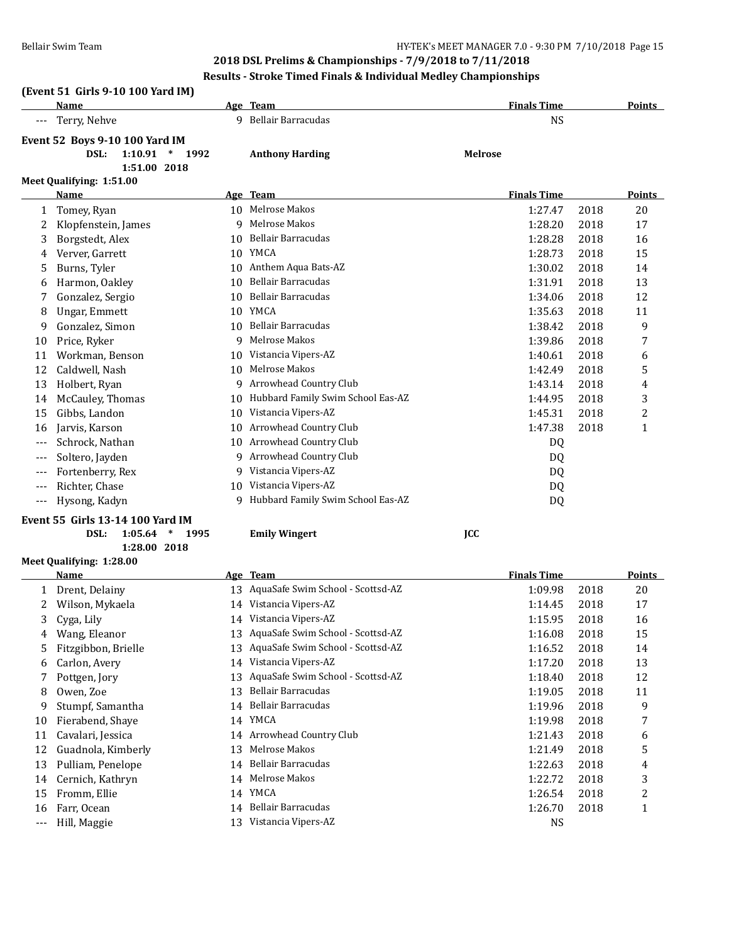## **(Event 51 Girls 9-10 100 Yard IM)**

|     | Name                                                                                       |    | Age Team                          | <b>Finals Time</b> |      | <b>Points</b> |
|-----|--------------------------------------------------------------------------------------------|----|-----------------------------------|--------------------|------|---------------|
|     | Terry, Nehve                                                                               |    | 9 Bellair Barracudas              | <b>NS</b>          |      |               |
|     | <b>Event 52 Boys 9-10 100 Yard IM</b><br>1:10.91<br>DSL:<br>$\ast$<br>1992<br>1:51.00 2018 |    | <b>Anthony Harding</b>            | <b>Melrose</b>     |      |               |
|     | Meet Qualifying: 1:51.00                                                                   |    |                                   |                    |      |               |
|     | Name                                                                                       |    | Age Team                          | <b>Finals Time</b> |      | <b>Points</b> |
|     | Tomey, Ryan                                                                                | 10 | Melrose Makos                     | 1:27.47            | 2018 | 20            |
| 2   | Klopfenstein, James                                                                        | 9  | Melrose Makos                     | 1:28.20            | 2018 | 17            |
| 3   | Borgstedt, Alex                                                                            | 10 | <b>Bellair Barracudas</b>         | 1:28.28            | 2018 | 16            |
| 4   | Verver, Garrett                                                                            | 10 | YMCA                              | 1:28.73            | 2018 | 15            |
| 5   | Burns, Tyler                                                                               | 10 | Anthem Aqua Bats-AZ               | 1:30.02            | 2018 | 14            |
| 6   | Harmon, Oakley                                                                             | 10 | <b>Bellair Barracudas</b>         | 1:31.91            | 2018 | 13            |
| 7   | Gonzalez, Sergio                                                                           | 10 | <b>Bellair Barracudas</b>         | 1:34.06            | 2018 | 12            |
| 8   | <b>Ungar, Emmett</b>                                                                       | 10 | <b>YMCA</b>                       | 1:35.63            | 2018 | 11            |
| 9   | Gonzalez, Simon                                                                            | 10 | <b>Bellair Barracudas</b>         | 1:38.42            | 2018 | 9             |
| 10  | Price, Ryker                                                                               | q  | Melrose Makos                     | 1:39.86            | 2018 | 7             |
| 11  | Workman, Benson                                                                            | 10 | Vistancia Vipers-AZ               | 1:40.61            | 2018 | 6             |
| 12  | Caldwell, Nash                                                                             | 10 | Melrose Makos                     | 1:42.49            | 2018 | 5             |
| 13  | Holbert, Ryan                                                                              | 9  | Arrowhead Country Club            | 1:43.14            | 2018 | 4             |
| 14  | McCauley, Thomas                                                                           | 10 | Hubbard Family Swim School Eas-AZ | 1:44.95            | 2018 | 3             |
| 15  | Gibbs, Landon                                                                              | 10 | Vistancia Vipers-AZ               | 1:45.31            | 2018 | 2             |
| 16  | Jarvis, Karson                                                                             | 10 | Arrowhead Country Club            | 1:47.38            | 2018 | $\mathbf{1}$  |
| --- | Schrock, Nathan                                                                            | 10 | Arrowhead Country Club            | DQ                 |      |               |
| --- | Soltero, Jayden                                                                            | 9  | Arrowhead Country Club            | DQ                 |      |               |
| --- | Fortenberry, Rex                                                                           | 9  | Vistancia Vipers-AZ               | DQ                 |      |               |
| --- | Richter, Chase                                                                             | 10 | Vistancia Vipers-AZ               | DQ                 |      |               |
| --- | Hysong, Kadyn                                                                              | 9  | Hubbard Family Swim School Eas-AZ | DQ                 |      |               |
|     |                                                                                            |    |                                   |                    |      |               |

#### **Event 55 Girls 13-14 100 Yard IM**

| DSL: | 1:05.64 |  | 1995 |  |
|------|---------|--|------|--|
|------|---------|--|------|--|

**1:28.00 2018**

**Meet Qualifying: 1:28.00**

|       | <b>Name</b>         |    | Age Team                             | <b>Finals Time</b> |      | <b>Points</b> |
|-------|---------------------|----|--------------------------------------|--------------------|------|---------------|
|       | Drent, Delainy      |    | 13 AquaSafe Swim School - Scottsd-AZ | 1:09.98            | 2018 | 20            |
|       | Wilson, Mykaela     | 14 | Vistancia Vipers-AZ                  | 1:14.45            | 2018 | 17            |
| 3     | Cyga, Lily          | 14 | Vistancia Vipers-AZ                  | 1:15.95            | 2018 | 16            |
| 4     | Wang, Eleanor       | 13 | AquaSafe Swim School - Scottsd-AZ    | 1:16.08            | 2018 | 15            |
| 5.    | Fitzgibbon, Brielle | 13 | AquaSafe Swim School - Scottsd-AZ    | 1:16.52            | 2018 | 14            |
| 6     | Carlon, Avery       | 14 | Vistancia Vipers-AZ                  | 1:17.20            | 2018 | 13            |
| 7     | Pottgen, Jory       | 13 | AquaSafe Swim School - Scottsd-AZ    | 1:18.40            | 2018 | 12            |
| 8     | Owen, Zoe           | 13 | Bellair Barracudas                   | 1:19.05            | 2018 | 11            |
| 9     | Stumpf, Samantha    | 14 | Bellair Barracudas                   | 1:19.96            | 2018 | 9             |
| 10    | Fierabend, Shaye    | 14 | YMCA                                 | 1:19.98            | 2018 | 7             |
| 11    | Cavalari, Jessica   | 14 | Arrowhead Country Club               | 1:21.43            | 2018 | 6             |
| 12    | Guadnola, Kimberly  | 13 | Melrose Makos                        | 1:21.49            | 2018 | 5             |
| 13    | Pulliam, Penelope   | 14 | Bellair Barracudas                   | 1:22.63            | 2018 | 4             |
| 14    | Cernich, Kathryn    | 14 | Melrose Makos                        | 1:22.72            | 2018 | 3             |
| 15    | Fromm, Ellie        | 14 | YMCA                                 | 1:26.54            | 2018 | 2             |
| 16    | Farr, Ocean         | 14 | Bellair Barracudas                   | 1:26.70            | 2018 |               |
| $---$ | Hill, Maggie        | 13 | Vistancia Vipers-AZ                  | <b>NS</b>          |      |               |

**DSL: 1:05.64 \* 1995 Emily Wingert JCC**